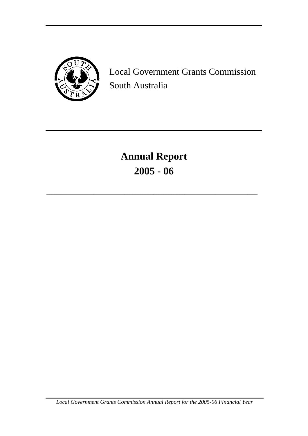

Local Government Grants Commission South Australia

**Annual Report 2005 - 06**

\_\_\_\_\_\_\_\_\_\_\_\_\_\_\_\_\_\_\_\_\_\_\_\_\_\_\_\_\_\_\_\_\_\_\_\_\_\_\_\_\_\_\_\_\_\_\_\_\_\_\_\_\_\_\_\_\_\_\_\_\_\_\_\_\_\_\_\_\_\_\_\_\_\_\_\_\_\_\_\_\_

*Local Government Grants Commission Annual Report for the 2005-06 Financial Year*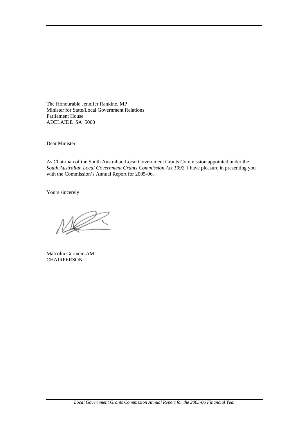The Honourable Jennifer Rankine, MP Minister for State/Local Government Relations Parliament House ADELAIDE SA 5000

Dear Minister

As Chairman of the South Australian Local Government Grants Commission appointed under the *South Australian Local Government Grants Commission Act 1992*, I have pleasure in presenting you with the Commission's Annual Report for 2005-06.

Yours sincerely

Malcolm Germein AM **CHAIRPERSON**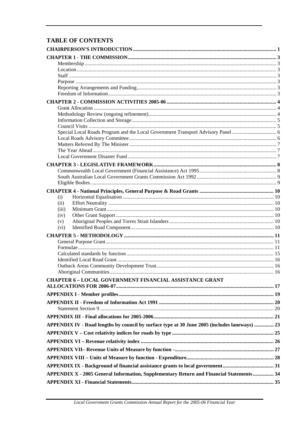## **TABLE OF CONTENTS**

| (i)                                                                                           |  |
|-----------------------------------------------------------------------------------------------|--|
| (ii)                                                                                          |  |
| (iii)                                                                                         |  |
| (iv)                                                                                          |  |
| (v)                                                                                           |  |
| (vi)                                                                                          |  |
|                                                                                               |  |
|                                                                                               |  |
|                                                                                               |  |
|                                                                                               |  |
|                                                                                               |  |
|                                                                                               |  |
|                                                                                               |  |
| <b>CHAPTER 6 - LOCAL GOVERNMENT FINANCIAL ASSISTANCE GRANT</b>                                |  |
|                                                                                               |  |
|                                                                                               |  |
|                                                                                               |  |
|                                                                                               |  |
|                                                                                               |  |
| APPENDIX IV - Road lengths by council by surface type at 30 June 2005 (includes laneways)  23 |  |
|                                                                                               |  |
|                                                                                               |  |
|                                                                                               |  |
|                                                                                               |  |
|                                                                                               |  |
|                                                                                               |  |
| APPENDIX X - 2005 General Information, Supplementary Return and Financial Statements 34       |  |
|                                                                                               |  |
|                                                                                               |  |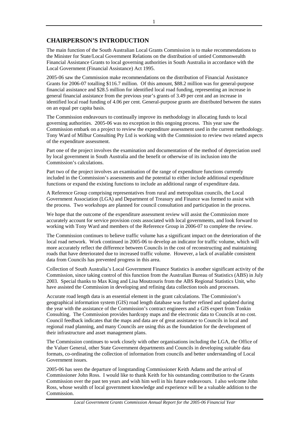## <span id="page-3-0"></span>**CHAIRPERSON'S INTRODUCTION**

The main function of the South Australian Local Grants Commission is to make recommendations to the Minister for State/Local Government Relations on the distribution of untied Commonwealth Financial Assistance Grants to local governing authorities in South Australia in accordance with the Local Government (Financial Assistance) Act 1995.

2005-06 saw the Commission make recommendations on the distribution of Financial Assistance Grants for 2006-07 totalling \$116.7 million. Of this amount, \$88.2 million was for general-purpose financial assistance and \$28.5 million for identified local road funding, representing an increase in general financial assistance from the previous year's grants of 3.49 per cent and an increase in identified local road funding of 4.06 per cent. General-purpose grants are distributed between the states on an equal per capita basis.

The Commission endeavours to continually improve its methodology in allocating funds to local governing authorities. 2005-06 was no exception in this ongoing process. This year saw the Commission embark on a project to review the expenditure assessment used in the current methodology. Tony Ward of Milbur Consulting Pty Ltd is working with the Commission to review two related aspects of the expenditure assessment.

Part one of the project involves the examination and documentation of the method of depreciation used by local government in South Australia and the benefit or otherwise of its inclusion into the Commission's calculations.

Part two of the project involves an examination of the range of expenditure functions currently included in the Commission's assessments and the potential to either include additional expenditure functions or expand the existing functions to include an additional range of expenditure data.

A Reference Group comprising representatives from rural and metropolitan councils, the Local Government Association (LGA) and Department of Treasury and Finance was formed to assist with the process. Two workshops are planned for council consultation and participation in the process.

We hope that the outcome of the expenditure assessment review will assist the Commission more accurately account for service provision costs associated with local governments, and look forward to working with Tony Ward and members of the Reference Group in 2006-07 to complete the review.

The Commission continues to believe traffic volume has a significant impact on the deterioration of the local road network. Work continued in 2005-06 to develop an indicator for traffic volume, which will more accurately reflect the difference between Councils in the cost of reconstructing and maintaining roads that have deteriorated due to increased traffic volume. However, a lack of available consistent data from Councils has prevented progress in this area.

Collection of South Australia's Local Government Finance Statistics is another significant activity of the Commission, since taking control of this function from the Australian Bureau of Statistics (ABS) in July 2003. Special thanks to Max King and Lisa Moutzouris from the ABS Regional Statistics Unit, who have assisted the Commission in developing and refining data collection tools and processes.

Accurate road length data is an essential element in the grant calculations. The Commission's geographical information system (GIS) road length database was further refined and updated during the year with the assistance of the Commission's contract engineers and a GIS expert from Tonkin Consulting. The Commission provides hardcopy maps and the electronic data to Councils at no cost. Council feedback indicates that the maps and data are of great assistance to Councils in local and regional road planning, and many Councils are using this as the foundation for the development of their infrastructure and asset management plans.

The Commission continues to work closely with other organisations including the LGA, the Office of the Valuer General, other State Government departments and Councils in developing suitable data formats, co-ordinating the collection of information from councils and better understanding of Local Government issues.

2005-06 has seen the departure of longstanding Commissioner Keith Adams and the arrival of Commissioner John Ross. I would like to thank Keith for his outstanding contribution to the Grants Commission over the past ten years and wish him well in his future endeavours. I also welcome John Ross, whose wealth of local government knowledge and experience will be a valuable addition to the Commission.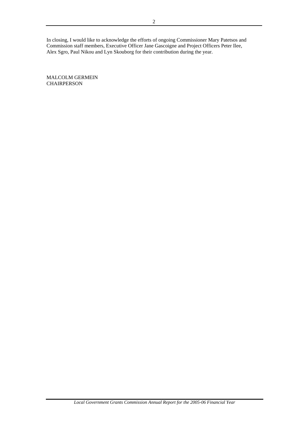In closing, I would like to acknowledge the efforts of ongoing Commissioner Mary Patetsos and Commission staff members, Executive Officer Jane Gascoigne and Project Officers Peter Ilee, Alex Sgro, Paul Nikou and Lyn Skouborg for their contribution during the year.

MALCOLM GERMEIN **CHAIRPERSON**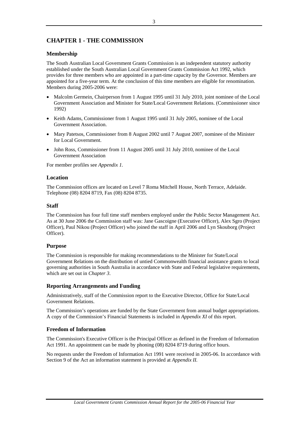## <span id="page-5-0"></span>**CHAPTER 1 - THE COMMISSION**

## **Membership**

The South Australian Local Government Grants Commission is an independent statutory authority established under the South Australian Local Government Grants Commission Act 1992, which provides for three members who are appointed in a part-time capacity by the Governor. Members are appointed for a five-year term. At the conclusion of this time members are eligible for renomination. Members during 2005-2006 were:

- Malcolm Germein, Chairperson from 1 August 1995 until 31 July 2010, joint nominee of the Local Government Association and Minister for State/Local Government Relations. (Commissioner since 1992)
- Keith Adams, Commissioner from 1 August 1995 until 31 July 2005, nominee of the Local Government Association.
- Mary Patetsos, Commissioner from 8 August 2002 until 7 August 2007, nominee of the Minister for Local Government.
- John Ross, Commissioner from 11 August 2005 until 31 July 2010, nominee of the Local Government Association

For member profiles see *Appendix 1.*

## **Location**

The Commission offices are located on Level 7 Roma Mitchell House, North Terrace, Adelaide. Telephone (08) 8204 8719, Fax (08) 8204 8735.

## **Staff**

The Commission has four full time staff members employed under the Public Sector Management Act. As at 30 June 2006 the Commission staff was: Jane Gascoigne (Executive Officer), Alex Sgro (Project Officer), Paul Nikou (Project Officer) who joined the staff in April 2006 and Lyn Skouborg (Project Officer).

## **Purpose**

The Commission is responsible for making recommendations to the Minister for State/Local Government Relations on the distribution of untied Commonwealth financial assistance grants to local governing authorities in South Australia in accordance with State and Federal legislative requirements, which are set out in *Chapter 3*.

## **Reporting Arrangements and Funding**

Administratively, staff of the Commission report to the Executive Director, Office for State/Local Government Relations.

The Commission's operations are funded by the State Government from annual budget appropriations. A copy of the Commission's Financial Statements is included in *Appendix XI* of this report.

## **Freedom of Information**

The Commission's Executive Officer is the Principal Officer as defined in the Freedom of Information Act 1991. An appointment can be made by phoning (08) 8204 8719 during office hours.

No requests under the Freedom of Information Act 1991 were received in 2005-06. In accordance with Section 9 of the Act an information statement is provided at *Appendix II.*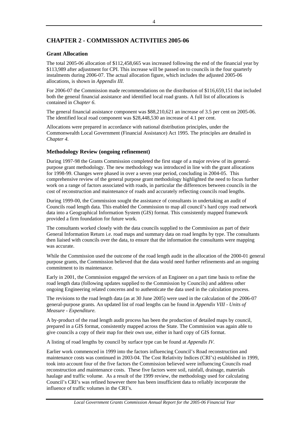## <span id="page-6-0"></span>**CHAPTER 2 - COMMISSION ACTIVITIES 2005-06**

## **Grant Allocation**

The total 2005-06 allocation of \$112,458,665 was increased following the end of the financial year by \$113,989 after adjustment for CPI. This increase will be passed on to councils in the four quarterly instalments during 2006-07. The actual allocation figure, which includes the adjusted 2005-06 allocations, is shown in *Appendix III.*

For 2006-07 the Commission made recommendations on the distribution of \$116,659,151 that included both the general financial assistance and identified local road grants. A full list of allocations is contained in *Chapter 6*.

The general financial assistance component was \$88,210,621 an increase of 3.5 per cent on 2005-06. The identified local road component was \$28,448,530 an increase of 4.1 per cent.

Allocations were prepared in accordance with national distribution principles, under the Commonwealth Local Government (Financial Assistance) Act 1995. The principles are detailed in *Chapter 4.*

## **Methodology Review (ongoing refinement)**

During 1997-98 the Grants Commission completed the first stage of a major review of its generalpurpose grant methodology. The new methodology was introduced in line with the grant allocations for 1998-99. Changes were phased in over a seven year period, concluding in 2004-05. This comprehensive review of the general purpose grant methodology highlighted the need to focus further work on a range of factors associated with roads, in particular the differences between councils in the cost of reconstruction and maintenance of roads and accurately reflecting councils road lengths.

During 1999-00, the Commission sought the assistance of consultants in undertaking an audit of Councils road length data. This enabled the Commission to map all council's hard copy road network data into a Geographical Information System (GIS) format. This consistently mapped framework provided a firm foundation for future work.

The consultants worked closely with the data councils supplied to the Commission as part of their General Information Return i.e. road maps and summary data on road lengths by type. The consultants then liaised with councils over the data, to ensure that the information the consultants were mapping was accurate.

While the Commission used the outcome of the road length audit in the allocation of the 2000-01 general purpose grants, the Commission believed that the data would need further refinements and an ongoing commitment to its maintenance.

Early in 2001, the Commission engaged the services of an Engineer on a part time basis to refine the road length data (following updates supplied to the Commission by Councils) and address other ongoing Engineering related concerns and to authenticate the data used in the calculation process.

The revisions to the road length data (as at 30 June 2005) were used in the calculation of the 2006-07 general-purpose grants. An updated list of road lengths can be found in *Appendix VIII - Units of Measure - Expenditure.* 

A by-product of the road length audit process has been the production of detailed maps by council, prepared in a GIS format, consistently mapped across the State. The Commission was again able to give councils a copy of their map for their own use, either in hard copy of GIS format.

A listing of road lengths by council by surface type can be found at *Appendix IV.*

Earlier work commenced in 1999 into the factors influencing Council's Road reconstruction and maintenance costs was continued in 2003-04. The Cost Relativity Indices (CRI's) established in 1999, took into account four of the five factors the Commission believed were influencing Councils road reconstruction and maintenance costs. These five factors were soil, rainfall, drainage, materials haulage and traffic volume. As a result of the 1999 review, the methodology used for calculating Council's CRI's was refined however there has been insufficient data to reliably incorporate the influence of traffic volumes in the CRI's.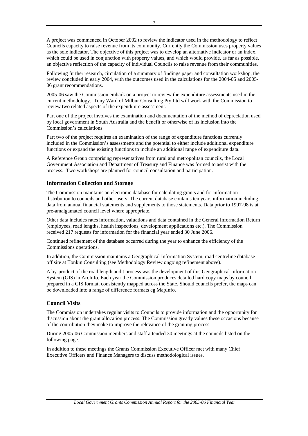<span id="page-7-0"></span>Following further research, circulation of a summary of findings paper and consultation workshop, the review concluded in early 2004, with the outcomes used in the calculations for the 2004-05 and 2005- 06 grant recommendations.

2005-06 saw the Commission embark on a project to review the expenditure assessments used in the current methodology. Tony Ward of Milbur Consulting Pty Ltd will work with the Commission to review two related aspects of the expenditure assessment.

Part one of the project involves the examination and documentation of the method of depreciation used by local government in South Australia and the benefit or otherwise of its inclusion into the Commission's calculations.

Part two of the project requires an examination of the range of expenditure functions currently included in the Commission's assessments and the potential to either include additional expenditure functions or expand the existing functions to include an additional range of expenditure data.

A Reference Group comprising representatives from rural and metropolitan councils, the Local Government Association and Department of Treasury and Finance was formed to assist with the process. Two workshops are planned for council consultation and participation.

## **Information Collection and Storage**

The Commission maintains an electronic database for calculating grants and for information distribution to councils and other users. The current database contains ten years information including data from annual financial statements and supplements to those statements. Data prior to 1997-98 is at pre-amalgamated council level where appropriate.

Other data includes rates information, valuations and data contained in the General Information Return (employees, road lengths, health inspections, development applications etc.). The Commission received 217 requests for information for the financial year ended 30 June 2006.

Continued refinement of the database occurred during the year to enhance the efficiency of the Commissions operations.

In addition, the Commission maintains a Geographical Information System, road centreline database off site at Tonkin Consulting (see Methodology Review ongoing refinement above).

A by-product of the road length audit process was the development of this Geographical Information System (GIS) in ArcInfo. Each year the Commission produces detailed hard copy maps by council, prepared in a GIS format, consistently mapped across the State. Should councils prefer, the maps can be downloaded into a range of difference formats eg MapInfo.

## **Council Visits**

The Commission undertakes regular visits to Councils to provide information and the opportunity for discussion about the grant allocation process. The Commission greatly values these occasions because of the contribution they make to improve the relevance of the granting process.

During 2005-06 Commission members and staff attended 30 meetings at the councils listed on the following page.

In addition to these meetings the Grants Commission Executive Officer met with many Chief Executive Officers and Finance Managers to discuss methodological issues.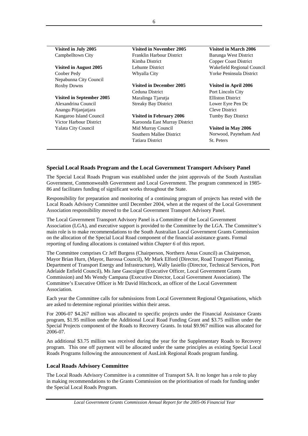| $\alpha$ ishiya ili dul $\alpha$ 2000 |
|---------------------------------------|
| Campbelltown City                     |
| Vicited in Awayst 2005                |

Coober Pedy Whyalla City Yorke Peninsula District Nepabunna City Council

## **Visited in September 2005** Maralinga Tjarutja Elliston District

Anangu Pitjanjatjara Cleve District

<span id="page-8-0"></span>**Visited in July 2005 Visited in November 2005 Visited in March 2006** Franklin Harbour District Barunga West District Kimba District Copper Coast District

Roxby Downs **Visited in December 2005 Visited in April 2006** Ceduna District Port Lincoln City Alexandrina Council Streaky Bay District Lower Eyre Pen Dc

Kangaroo Island Council **Visited in February 2006** Tumby Bay District Victor Harbour District Karoonda East Murray District Yalata City Council Mid Murray Council **Visited in May 2006** Southern Mallee District Tatiara District

**Visited in August 2005** Lehunte District Wakefield Regional Council

Norwood, Payneham And St. Peters

## **Special Local Roads Program and the Local Government Transport Advisory Panel**

The Special Local Roads Program was established under the joint approvals of the South Australian Government, Commonwealth Government and Local Government. The program commenced in 1985- 86 and facilitates funding of significant works throughout the State.

Responsibility for preparation and monitoring of a continuing program of projects has rested with the Local Roads Advisory Committee until December 2004, when at the request of the Local Government Association responsibility moved to the Local Government Transport Advisory Panel.

The Local Government Transport Advisory Panel is a Committee of the Local Government Association (LGA), and executive support is provided to the Committee by the LGA. The Committee's main role is to make recommendations to the South Australian Local Government Grants Commission on the allocation of the Special Local Road component of the financial assistance grants. Formal reporting of funding allocations is contained within *Chapter 6* of this report.

The Committee comprises Cr Jeff Burgess (Chairperson, Northern Areas Council) as Chairperson, Mayor Brian Hurn, (Mayor, Barossa Council), Mr Mark Elford (Director, Road Transport Planning, Department of Transport Energy and Infrastructure), Wally Iasiello (Director, Technical Services, Port Adelaide Enfield Council), Ms Jane Gascoigne (Executive Officer, Local Government Grants Commission) and Ms Wendy Campana (Executive Director, Local Government Association). The Committee's Executive Officer is Mr David Hitchcock, an officer of the Local Government Association.

Each year the Committee calls for submissions from Local Government Regional Organisations, which are asked to determine regional priorities within their areas.

For 2006-07 \$4.267 million was allocated to specific projects under the Financial Assistance Grants program, \$1.95 million under the Additional Local Road Funding Grant and \$3.75 million under the Special Projects component of the Roads to Recovery Grants. In total \$9.967 million was allocated for 2006-07.

An additional \$3.75 million was received during the year for the Supplementary Roads to Recovery program. This one off payment will be allocated under the same principles as existing Special Local Roads Programs following the announcement of AusLink Regional Roads program funding.

## **Local Roads Advisory Committee**

The Local Roads Advisory Committee is a committee of Transport SA. It no longer has a role to play in making recommendations to the Grants Commission on the prioritisation of roads for funding under the Special Local Roads Program.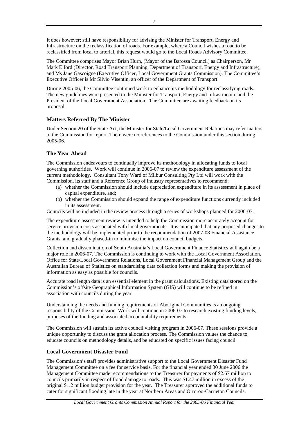<span id="page-9-0"></span>It does however; still have responsibility for advising the Minister for Transport, Energy and Infrastructure on the reclassification of roads. For example, where a Council wishes a road to be reclassified from local to arterial, this request would go to the Local Roads Advisory Committee.

The Committee comprises Mayor Brian Hurn, (Mayor of the Barossa Council) as Chairperson, Mr Mark Elford (Director, Road Transport Planning, Department of Transport, Energy and Infrastructure), and Ms Jane Gascoigne (Executive Officer, Local Government Grants Commission). The Committee's Executive Officer is Mr Silvio Visentin, an officer of the Department of Transport.

During 2005-06, the Committee continued work to enhance its methodology for reclassifying roads. The new guidelines were presented to the Minister for Transport, Energy and Infrastructure and the President of the Local Government Association. The Committee are awaiting feedback on its proposal.

## **Matters Referred By The Minister**

Under Section 20 of the State Act, the Minister for State/Local Government Relations may refer matters to the Commission for report. There were no references to the Commission under this section during 2005-06.

## **The Year Ahead**

The Commission endeavours to continually improve its methodology in allocating funds to local governing authorities. Work will continue in 2006-07 to review the expenditure assessment of the current methodology. Consultant Tony Ward of Milbur Consulting Pty Ltd will work with the Commission, its staff and a Reference Group of industry representatives to recommend;

- (a) whether the Commission should include depreciation expenditure in its assessment in place of capital expenditure, and;
- (b) whether the Commission should expand the range of expenditure functions currently included in its assessment.

Councils will be included in the review process through a series of workshops planned for 2006-07.

The expenditure assessment review is intended to help the Commission more accurately account for service provision costs associated with local governments. It is anticipated that any proposed changes to the methodology will be implemented prior to the recommendation of 2007-08 Financial Assistance Grants, and gradually phased-in to minimise the impact on council budgets.

Collection and dissemination of South Australia's Local Government Finance Statistics will again be a major role in 2006-07. The Commission is continuing to work with the Local Government Association, Office for State/Local Government Relations, Local Government Financial Management Group and the Australian Bureau of Statistics on standardising data collection forms and making the provision of information as easy as possible for councils.

Accurate road length data is an essential element in the grant calculations. Existing data stored on the Commission's offsite Geographical Information System (GIS) will continue to be refined in association with councils during the year.

Understanding the needs and funding requirements of Aboriginal Communities is an ongoing responsibility of the Commission. Work will continue in 2006-07 to research existing funding levels, purposes of the funding and associated accountability requirements.

The Commission will sustain its active council visiting program in 2006-07. These sessions provide a unique opportunity to discuss the grant allocation process. The Commission values the chance to educate councils on methodology details, and be educated on specific issues facing council.

## **Local Government Disaster Fund**

The Commission's staff provides administrative support to the Local Government Disaster Fund Management Committee on a fee for service basis. For the financial year ended 30 June 2006 the Management Committee made recommendations to the Treasurer for payments of \$2.67 million to councils primarily in respect of flood damage to roads. This was \$1.47 million in excess of the original \$1.2 million budget provision for the year. The Treasurer approved the additional funds to cater for significant flooding late in the year at Northern Areas and Orroroo-Carrieton Councils.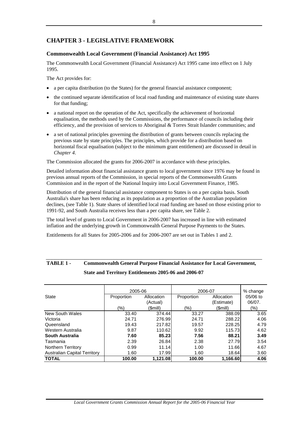## <span id="page-10-0"></span>**CHAPTER 3 - LEGISLATIVE FRAMEWORK**

## **Commonwealth Local Government (Financial Assistance) Act 1995**

The Commonwealth Local Government (Financial Assistance) Act 1995 came into effect on 1 July 1995.

The Act provides for:

- a per capita distribution (to the States) for the general financial assistance component;
- the continued separate identification of local road funding and maintenance of existing state shares for that funding;
- a national report on the operation of the Act, specifically the achievement of horizontal equalisation, the methods used by the Commissions, the performance of councils including their efficiency, and the provision of services to Aboriginal & Torres Strait Islander communities; and
- a set of national principles governing the distribution of grants between councils replacing the previous state by state principles. The principles, which provide for a distribution based on horizontal fiscal equalisation (subject to the minimum grant entitlement) are discussed in detail in *Chapter 4*.

The Commission allocated the grants for 2006-2007 in accordance with these principles.

Detailed information about financial assistance grants to local government since 1976 may be found in previous annual reports of the Commission, in special reports of the Commonwealth Grants Commission and in the report of the National Inquiry into Local Government Finance, 1985.

Distribution of the general financial assistance component to States is on a per capita basis. South Australia's share has been reducing as its population as a proportion of the Australian population declines, (see Table 1). State shares of identified local road funding are based on those existing prior to 1991-92, and South Australia receives less than a per capita share, see Table 2.

The total level of grants to Local Government in 2006-2007 has increased in line with estimated inflation and the underlying growth in Commonwealth General Purpose Payments to the States.

Entitlements for all States for 2005-2006 and for 2006-2007 are set out in Tables 1 and 2.

|                                     | 2005-06    |            | 2006-07    | % change   |          |
|-------------------------------------|------------|------------|------------|------------|----------|
| <b>State</b>                        | Proportion | Allocation | Proportion | Allocation | 05/06 to |
|                                     |            | (Actual)   |            | (Estimate) | 06/07.   |
|                                     | (%)        | (Smill)    | (%)        | (Smill)    | (%)      |
| New South Wales                     | 33.40      | 374.44     | 33.27      | 388.09     | 3.65     |
| Victoria                            | 24.71      | 276.99     | 24.71      | 288.22     | 4.06     |
| Queensland                          | 19.43      | 217.82     | 19.57      | 228.25     | 4.79     |
| Western Australia                   | 9.87       | 110.62     | 9.92       | 115.73     | 4.62     |
| South Australia                     | 7.60       | 85.23      | 7.56       | 88.21      | 3.49     |
| Tasmania                            | 2.39       | 26.84      | 2.38       | 27.79      | 3.54     |
| Northern Territory                  | 0.99       | 11.14      | 1.00       | 11.66      | 4.67     |
| <b>Australian Capital Territory</b> | 1.60       | 17.99      | 1.60       | 18.64      | 3.60     |
| <b>TOTAL</b>                        | 100.00     | 1.121.08   | 100.00     | 1,166.60   | 4.06     |

## **TABLE 1 - Commonwealth General Purpose Financial Assistance for Local Government, State and Territory Entitlements 2005-06 and 2006-07**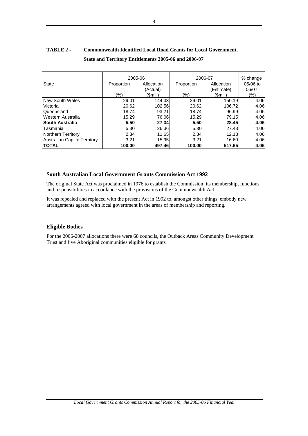|                                     | 2005-06    |            | 2006-07    |            | % change |
|-------------------------------------|------------|------------|------------|------------|----------|
| <b>State</b>                        | Proportion | Allocation | Proportion | Allocation | 05/06 to |
|                                     |            | (Actual)   |            | (Estimate) | 06/07.   |
|                                     | (%)        | (Smill)    | (%)        | (\$mill)   | (%)      |
| New South Wales                     | 29.01      | 144.33     | 29.01      | 150.19     | 4.06     |
| Victoria                            | 20.62      | 102.56     | 20.62      | 106.72     | 4.06     |
| Queensland                          | 18.74      | 93.21      | 18.74      | 96.99      | 4.06     |
| Western Australia                   | 15.29      | 76.06      | 15.29      | 79.15      | 4.06     |
| South Australia                     | 5.50       | 27.34      | 5.50       | 28.45      | 4.06     |
| Tasmania                            | 5.30       | 26.36      | 5.30       | 27.43      | 4.06     |
| Northern Territory                  | 2.34       | 11.65      | 2.34       | 12.13      | 4.06     |
| <b>Australian Capital Territory</b> | 3.21       | 15.95      | 3.21       | 16.60      | 4.06     |
| <b>TOTAL</b>                        | 100.00     | 497.46     | 100.00     | 517.65     | 4.06     |

## <span id="page-11-0"></span>**TABLE 2 - Commonwealth Identified Local Road Grants for Local Government, State and Territory Entitlements 2005-06 and 2006-07**

## **South Australian Local Government Grants Commission Act 1992**

The original State Act was proclaimed in 1976 to establish the Commission, its membership, functions and responsibilities in accordance with the provisions of the Commonwealth Act.

It was repealed and replaced with the present Act in 1992 to, amongst other things, embody new arrangements agreed with local government in the areas of membership and reporting.

## **Eligible Bodies**

For the 2006-2007 allocations there were 68 councils, the Outback Areas Community Development Trust and five Aboriginal communities eligible for grants*.*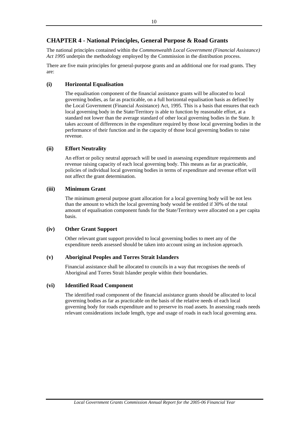## <span id="page-12-0"></span>**CHAPTER 4 - National Principles, General Purpose & Road Grants**

The national principles contained within the *Commonwealth Local Government (Financial Assistance) Act 1995* underpin the methodology employed by the Commission in the distribution process.

There are five main principles for general-purpose grants and an additional one for road grants. They are:

## **(i) Horizontal Equalisation**

The equalisation component of the financial assistance grants will be allocated to local governing bodies, as far as practicable, on a full horizontal equalisation basis as defined by the Local Government (Financial Assistance) Act, 1995. This is a basis that ensures that each local governing body in the State/Territory is able to function by reasonable effort, at a standard not lower than the average standard of other local governing bodies in the State. It takes account of differences in the expenditure required by those local governing bodies in the performance of their function and in the capacity of those local governing bodies to raise revenue.

## **(ii) Effort Neutrality**

An effort or policy neutral approach will be used in assessing expenditure requirements and revenue raising capacity of each local governing body. This means as far as practicable, policies of individual local governing bodies in terms of expenditure and revenue effort will not affect the grant determination.

## **(iii) Minimum Grant**

The minimum general purpose grant allocation for a local governing body will be not less than the amount to which the local governing body would be entitled if 30% of the total amount of equalisation component funds for the State/Territory were allocated on a per capita basis.

## **(iv) Other Grant Support**

Other relevant grant support provided to local governing bodies to meet any of the expenditure needs assessed should be taken into account using an inclusion approach.

## **(v) Aboriginal Peoples and Torres Strait Islanders**

Financial assistance shall be allocated to councils in a way that recognises the needs of Aboriginal and Torres Strait Islander people within their boundaries.

## **(vi) Identified Road Component**

The identified road component of the financial assistance grants should be allocated to local governing bodies as far as practicable on the basis of the relative needs of each local governing body for roads expenditure and to preserve its road assets. In assessing roads needs relevant considerations include length, type and usage of roads in each local governing area.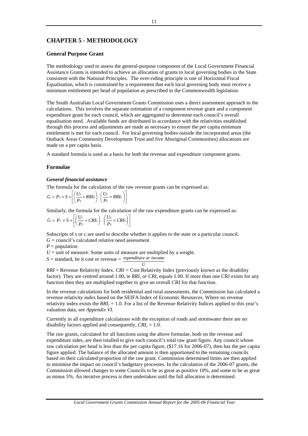## <span id="page-13-0"></span>**CHAPTER 5 - METHODOLOGY**

## **General Purpose Grant**

The methodology used to assess the general-purpose component of the Local Government Financial Assistance Grants is intended to achieve an allocation of grants to local governing bodies in the State consistent with the National Principles. The over-riding principle is one of Horizontal Fiscal Equalisation, which is constrained by a requirement that each local governing body must receive a minimum entitlement per head of population as prescribed in the Commonwealth legislation.

The South Australian Local Government Grants Commission uses a direct assessment approach to the calculations. This involves the separate estimation of a component revenue grant and a component expenditure grant for each council, which are aggregated to determine each council's overall equalisation need. Available funds are distributed in accordance with the relativities established through this process and adjustments are made as necessary to ensure the per capita minimum entitlement is met for each council. For local governing bodies outside the incorporated areas (the Outback Areas Community Development Trust and five Aboriginal Communities) allocations are made on a per capita basis.

A standard formula is used as a basis for both the revenue and expenditure component grants.

### **Formulae**

### *General financial assistance*

The formula for the calculation of the raw revenue grants can be expressed as:

$$
G = Pc \times S \times \left[ \left( \frac{Us}{Ps} \times RRIs \right) - \left( \frac{Uc}{Pc} \times RRIc \right) \right]
$$

Similarly, the formula for the calculation of the raw expenditure grants can be expressed as:

$$
G = Pc \times S \times \left[ \left( \frac{Uc}{Pc} \times CRIc \right) - \left( \frac{Us}{Ps} \times CRIs \right) \right]
$$

Subscripts of s or c are used to describe whether it applies to the state or a particular council.

 $G =$  council's calculated relative need assessment

 $P =$  population

 $U =$  unit of measure. Some units of measure are multiplied by a weight.

 $S =$  standard, be it cost or revenue  $=$  *expenditure or income* 

*U RRI* = Revenue Relativity Index. *CRI =* Cost Relativity Index (previously known as the disability factor). They are centred around 1.00, ie *RRI<sub>s</sub> or CRI<sub>s</sub>* equals 1.00. If more than one CRI exists for any function then they are multiplied together to give an overall CRI for that function.

In the revenue calculations for both residential and rural assessments, the Commission has calculated a revenue relativity index based on the SEIFA Index of Economic Resources. Where no revenue relativity index exists the *RRIc* = 1.0. For a list of the Revenue Relativity Indices applied to this year's valuation data, see *Appendix VI.*

Currently in all expenditure calculations with the exception of roads and stormwater there are no disability factors applied and consequently,  $CRI_c = 1.0$ .

The raw grants, calculated for all functions using the above formulae, both on the revenue and expenditure sides, are then totalled to give each council's total raw grant figure. Any council whose raw calculation per head is less than the per capita figure, (\$17.16 for 2006-07), then has the per capita figure applied. The balance of the allocated amount is then apportioned to the remaining councils based on their calculated proportion of the raw grant. Commission determined limits are then applied to minimise the impact on council's budgetary processes. In the calculation of the 2006-07 grants, the Commission allowed changes to some Councils to be as great as positive 10%, and some to be as great as minus 5%. An iterative process is then undertaken until the full allocation is determined.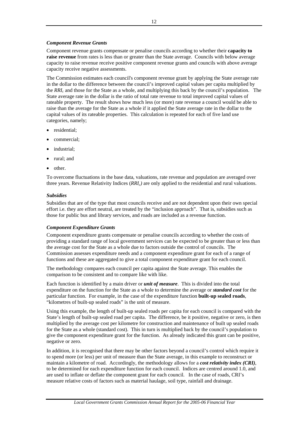## *Component Revenue Grants*

Component revenue grants compensate or penalise councils according to whether their **capacity to raise revenue** from rates is less than or greater than the State average. Councils with below average capacity to raise revenue receive positive component revenue grants and councils with above average capacity receive negative assessments.

The Commission estimates each council's component revenue grant by applying the State average rate in the dollar to the difference between the council's improved capital values per capita multiplied by the *RRIc* and those for the State as a whole, and multiplying this back by the council's population. The State average rate in the dollar is the ratio of total rate revenue to total improved capital values of rateable property. The result shows how much less (or more) rate revenue a council would be able to raise than the average for the State as a whole if it applied the State average rate in the dollar to the capital values of its rateable properties. This calculation is repeated for each of five land use categories, namely;

- residential;
- commercial;
- industrial:
- rural; and
- other.

To overcome fluctuations in the base data, valuations, rate revenue and population are averaged over three years. Revenue Relativity Indices (*RRIc)* are only applied to the residential and rural valuations.

### *Subsidies*

Subsidies that are of the type that most councils receive and are not dependent upon their own special effort i.e. they are effort neutral, are treated by the "inclusion approach". That is, subsidies such as those for public bus and library services, and roads are included as a revenue function.

### *Component Expenditure Grants*

Component expenditure grants compensate or penalise councils according to whether the costs of providing a standard range of local government services can be expected to be greater than or less than the average cost for the State as a whole due to factors outside the control of councils. The Commission assesses expenditure needs and a component expenditure grant for each of a range of functions and these are aggregated to give a total component expenditure grant for each council.

The methodology compares each council per capita against the State average. This enables the comparison to be consistent and to compare like with like.

Each function is identified by a main driver or *unit of measure*. This is divided into the total expenditure on the function for the State as a whole to determine the average or *standard cost* for the particular function. For example, in the case of the expenditure function **built-up sealed roads**, "kilometres of built-up sealed roads" is the unit of measure.

Using this example, the length of built-up sealed roads per capita for each council is compared with the State's length of built-up sealed road per capita. The difference, be it positive, negative or zero, is then multiplied by the average cost per kilometre for construction and maintenance of built up sealed roads for the State as a whole (standard cost). This in turn is multiplied back by the council's population to give the component expenditure grant for the function. As already indicated this grant can be positive, negative or zero.

In addition, it is recognised that there may be other factors beyond a council's control which require it to spend more (or less) per unit of measure than the State average, in this example to reconstruct or maintain a kilometre of road. Accordingly, the methodology allows for a *cost relativity index (CRI)*, to be determined for each expenditure function for each council. Indices are centred around 1.0, and are used to inflate or deflate the component grant for each council. In the case of roads, CRI's measure relative costs of factors such as material haulage, soil type, rainfall and drainage.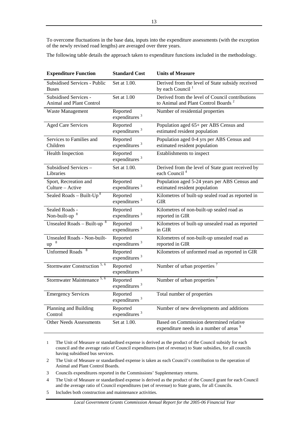To overcome fluctuations in the base data, inputs into the expenditure assessments (with the exception of the newly revised road lengths) are averaged over three years.

The following table details the approach taken to expenditure functions included in the methodology.

| <b>Expenditure Function</b>                                     | <b>Standard Cost</b>                  | <b>Units of Measure</b>                                                                            |
|-----------------------------------------------------------------|---------------------------------------|----------------------------------------------------------------------------------------------------|
| Subsidised Services - Public<br><b>Buses</b>                    | Set at 1.00.                          | Derived from the level of State subsidy received<br>by each Council <sup>1</sup>                   |
| <b>Subsidised Services -</b><br><b>Animal and Plant Control</b> | Set at 1.00                           | Derived from the level of Council contributions<br>to Animal and Plant Control Boards <sup>2</sup> |
| Waste Management                                                | Reported<br>expenditures <sup>3</sup> | Number of residential properties                                                                   |
| <b>Aged Care Services</b>                                       | Reported<br>expenditures <sup>3</sup> | Population aged 65+ per ABS Census and<br>estimated resident population                            |
| Services to Families and<br>Children                            | Reported<br>expenditures <sup>3</sup> | Population aged 0-4 yrs per ABS Census and<br>estimated resident population                        |
| Health Inspection                                               | Reported<br>expenditures <sup>3</sup> | Establishments to inspect                                                                          |
| Subsidised Services-<br>Libraries                               | Set at 1.00.                          | Derived from the level of State grant received by<br>each Council <sup>4</sup>                     |
| Sport, Recreation and<br>Culture - Active                       | Reported<br>expenditures $3$          | Population aged 5-24 years per ABS Census and<br>estimated resident population                     |
| Sealed Roads - Built- $Up^8$                                    | Reported<br>expenditures <sup>3</sup> | Kilometres of built-up sealed road as reported in<br>GIR                                           |
| Sealed Roads -<br>Non-built-up                                  | Reported<br>expenditures <sup>3</sup> | Kilometres of non-built-up sealed road as<br>reported in GIR                                       |
| Unsealed Roads - Built-up <sup>8</sup>                          | Reported<br>expenditures <sup>3</sup> | Kilometres of built-up unsealed road as reported<br>in GIR                                         |
| Unsealed Roads - Non-built-<br>up                               | Reported<br>expenditures <sup>3</sup> | Kilometres of non-built-up unsealed road as<br>reported in GIR                                     |
| <b>Unformed Roads</b>                                           | Reported<br>expenditures <sup>3</sup> | Kilometres of unformed road as reported in GIR                                                     |
| Stormwater Construction <sup>5, 6</sup>                         | Reported<br>expenditures <sup>3</sup> | Number of urban properties <sup>7</sup>                                                            |
| Stormwater Maintenance <sup>5, 6</sup>                          | Reported<br>expenditures <sup>3</sup> | Number of urban properties <sup>7</sup>                                                            |
| <b>Emergency Services</b>                                       | Reported<br>expenditures <sup>3</sup> | Total number of properties                                                                         |
| Planning and Building<br>Control                                | Reported<br>expenditures <sup>3</sup> | Number of new developments and additions                                                           |
| <b>Other Needs Assessments</b>                                  | Set at 1.00.                          | Based on Commission determined relative<br>expenditure needs in a number of areas <sup>9</sup>     |

1 The Unit of Measure or standardised expense is derived as the product of the Council subsidy for each council and the average ratio of Council expenditures (net of revenue) to State subsidies, for all councils having subsidised bus services.

- 2 The Unit of Measure or standardised expense is taken as each Council's contribution to the operation of Animal and Plant Control Boards.
- 3 Councils expenditures reported in the Commissions' Supplementary returns.
- 4 The Unit of Measure or standardised expense is derived as the product of the Council grant for each Council and the average ratio of Council expenditures (net of revenue) to State grants, for all Councils.
- 5 Includes both construction and maintenance activities.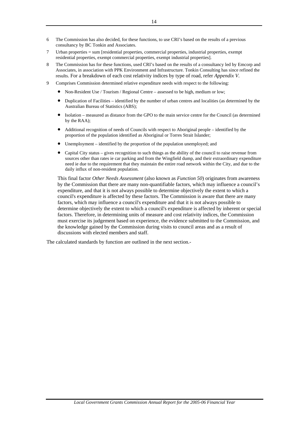- 6 The Commission has also decided, for these functions, to use CRI's based on the results of a previous consultancy by BC Tonkin and Associates.
- 7 Urban properties = sum [residential properties, commercial properties, industrial properties, exempt residential properties, exempt commercial properties, exempt industrial properties].
- 8 The Commission has for these functions, used CRI's based on the results of a consultancy led by Emcorp and Associates, in association with PPK Environment and Infrastructure. Tonkin Consulting has since refined the results. For a breakdown of each cost relativity indices by type of road, refer *Appendix V*.
- 9 Comprises Commission determined relative expenditure needs with respect to the following:
	- Non-Resident Use / Tourism / Regional Centre assessed to be high, medium or low;
	- Duplication of Facilities identified by the number of urban centres and localities (as determined by the Australian Bureau of Statistics (ABS);
	- Isolation measured as distance from the GPO to the main service centre for the Council (as determined by the RAA);
	- Additional recognition of needs of Councils with respect to Aboriginal people identified by the proportion of the population identified as Aboriginal or Torres Strait Islander;
	- Unemployment identified by the proportion of the population unemployed; and
	- Capital City status gives recognition to such things as the ability of the council to raise revenue from sources other than rates ie car parking and from the Wingfield dump, and their extraordinary expenditure need ie due to the requirement that they maintain the entire road network within the City, and due to the daily influx of non-resident population.

This final factor *Other Needs Assessment* (also known as *Function 50*) originates from awareness by the Commission that there are many non-quantifiable factors, which may influence a council's expenditure, and that it is not always possible to determine objectively the extent to which a council's expenditure is affected by these factors. The Commission is aware that there are many factors, which may influence a council's expenditure and that it is not always possible to determine objectively the extent to which a council's expenditure is affected by inherent or special factors. Therefore, in determining units of measure and cost relativity indices, the Commission must exercise its judgement based on experience, the evidence submitted to the Commission, and the knowledge gained by the Commission during visits to council areas and as a result of discussions with elected members and staff.

The calculated standards by function are outlined in the next section.-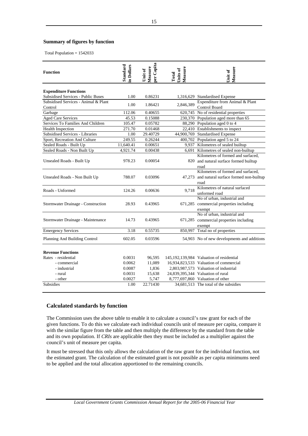### <span id="page-17-0"></span>**Summary of figures by function**

Total Population = 1542033

| <b>Function</b>                                 | Standard<br>in Dollars | per Capita<br>Measure<br>Unit of | Measure<br>Units of<br>Total | Measure<br>Unit of                                                                          |
|-------------------------------------------------|------------------------|----------------------------------|------------------------------|---------------------------------------------------------------------------------------------|
| <b>Expenditure Functions</b>                    |                        |                                  |                              |                                                                                             |
| Subsidised Services - Public Buses              | 1.00                   | 0.86231                          |                              | 1,316,629 Standardised Expense                                                              |
| Subsidised Services - Animal & Plant<br>Control | 1.00                   | 1.86421                          | 2,846,389                    | Expenditure from Animal & Plant<br><b>Control Board</b>                                     |
| Garbage                                         | 112.06                 | 0.40655                          |                              | 620,745 No of residential properties                                                        |
| <b>Aged Care Services</b>                       | 45.53                  | 0.15088                          |                              | 230,370 Population aged more than 65                                                        |
| Services To Families And Children               | 105.47                 | 0.05782                          |                              | 88,290 Population aged 0 to 4                                                               |
| Health Inspection                               | 271.70                 | 0.01468                          |                              | 22,410 Establishments to inspect                                                            |
| Subsidised Services - Libraries                 | 1.00                   | 29.40729                         |                              | 44,900,769 Standardised Expense                                                             |
| Sport, Recreation And Culture                   | 249.55                 | 0.26244                          |                              | 400,702 Population aged 5 to 24                                                             |
| Sealed Roads - Built Up                         | 11,640.41              | 0.00651                          |                              | 9,937 Kilometres of sealed builtup                                                          |
| Sealed Roads - Non Built Up                     | 4,921.74               | 0.00438                          | 6.691                        | Kilometres of sealed non-builtup                                                            |
| Unsealed Roads - Built Up                       | 978.23                 | 0.00054                          |                              | Kilometres of formed and surfaced,<br>820 and natural surface formed builtup<br>road        |
| Unsealed Roads - Non Built Up                   | 788.07                 | 0.03096                          |                              | Kilometres of formed and surfaced,<br>47,273 and natural surface formed non-builtup<br>road |
| Roads - Unformed                                | 124.26                 | 0.00636                          | 9.718                        | Kilometres of natural surfaced<br>unformed road                                             |
| Stormwater Drainage - Construction              | 28.93                  | 0.43965                          |                              | No of urban, industrial and<br>671,285 commercial properties including<br>exempt            |
| Stormwater Drainage - Maintenance               | 14.73                  | 0.43965                          |                              | No of urban, industrial and<br>671,285 commercial properties including<br>exempt            |
| <b>Emergency Services</b>                       | 3.18                   | 0.55735                          |                              | 850,997 Total no of properties                                                              |
| Planning And Building Control                   | 602.05                 | 0.03596                          |                              | 54,903 No of new developments and additions                                                 |
| <b>Revenue Functions</b>                        |                        |                                  |                              |                                                                                             |
| Rates - residential                             | 0.0031                 | 96,595                           |                              | 145,192,139,984 Valuation of residential                                                    |
| - commercial                                    | 0.0062                 | 11,089                           |                              | 16,934,823,533 Valuation of commercial                                                      |
| - industrial                                    | 0.0087                 | 1,836                            |                              | 2,803,987,573 Valuation of industrial                                                       |
| - rural                                         | 0.0031                 | 15,638                           |                              | 24,839,395,344 Valuation of rural                                                           |
| - other                                         | 0.0027                 | 5,747                            |                              | 8,777,697,860 Valuation of other                                                            |
| <b>Subsidies</b>                                | 1.00                   | 22.71430                         |                              | 34,681,513 The total of the subsidies                                                       |

## **Calculated standards by function**

The Commission uses the above table to enable it to calculate a council's raw grant for each of the given functions. To do this we calculate each individual councils unit of measure per capita, compare it with the similar figure from the table and then multiply the difference by the standard from the table and its own population. If *CRIs* are applicable then they must be included as a multiplier against the council's unit of measure per capita.

It must be stressed that this only allows the calculation of the raw grant for the individual function, not the estimated grant. The calculation of the estimated grant is not possible as per capita minimums need to be applied and the total allocation apportioned to the remaining councils.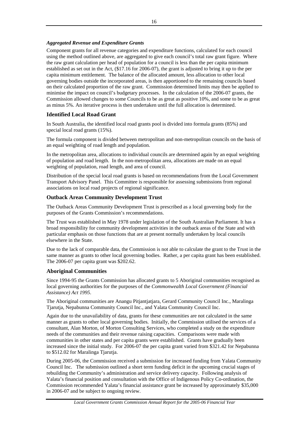## <span id="page-18-0"></span>*Aggregated Revenue and Expenditure Grants*

Component grants for all revenue categories and expenditure functions, calculated for each council using the method outlined above, are aggregated to give each council's total raw grant figure. Where the raw grant calculation per head of population for a council is less than the per capita minimum established as set out in the Act, (\$17.16 for 2006-07), the grant is adjusted to bring it up to the per capita minimum entitlement. The balance of the allocated amount, less allocation to other local governing bodies outside the incorporated areas, is then apportioned to the remaining councils based on their calculated proportion of the raw grant. Commission determined limits may then be applied to minimise the impact on council's budgetary processes. In the calculation of the 2006-07 grants, the Commission allowed changes to some Councils to be as great as positive 10%, and some to be as great as minus 5%. An iterative process is then undertaken until the full allocation is determined.

## **Identified Local Road Grant**

In South Australia, the identified local road grants pool is divided into formula grants (85%) and special local road grants (15%).

The formula component is divided between metropolitan and non-metropolitan councils on the basis of an equal weighting of road length and population.

In the metropolitan area, allocations to individual councils are determined again by an equal weighting of population and road length. In the non-metropolitan area, allocations are made on an equal weighting of population, road length, and area of council.

Distribution of the special local road grants is based on recommendations from the Local Government Transport Advisory Panel. This Committee is responsible for assessing submissions from regional associations on local road projects of regional significance.

## **Outback Areas Community Development Trust**

The Outback Areas Community Development Trust is prescribed as a local governing body for the purposes of the Grants Commission's recommendations.

The Trust was established in May 1978 under legislation of the South Australian Parliament. It has a broad responsibility for community development activities in the outback areas of the State and with particular emphasis on those functions that are at present normally undertaken by local councils elsewhere in the State.

Due to the lack of comparable data, the Commission is not able to calculate the grant to the Trust in the same manner as grants to other local governing bodies. Rather, a per capita grant has been established. The 2006-07 per capita grant was \$202.62.

## **Aboriginal Communities**

Since 1994-95 the Grants Commission has allocated grants to 5 Aboriginal communities recognised as local governing authorities for the purposes of the *Commonwealth Local Government (Financial Assistance) Act 1995*.

The Aboriginal communities are Anangu Pitjantjatjara, Gerard Community Council Inc., Maralinga Tjarutja, Nepabunna Community Council Inc., and Yalata Community Council Inc.

Again due to the unavailability of data, grants for these communities are not calculated in the same manner as grants to other local governing bodies. Initially, the Commission utilised the services of a consultant, Alan Morton, of Morton Consulting Services, who completed a study on the expenditure needs of the communities and their revenue raising capacities. Comparisons were made with communities in other states and per capita grants were established. Grants have gradually been increased since the initial study. For 2006-07 the per capita grant varied from \$321.42 for Nepabunna to \$512.02 for Maralinga Tjarutja.

During 2005-06, the Commission received a submission for increased funding from Yalata Community Council Inc. The submission outlined a short term funding deficit in the upcoming crucial stages of rebuilding the Community's administration and service delivery capacity. Following analysis of Yalata's financial position and consultation with the Office of Indigenous Policy Co-ordination, the Commission recommended Yalata's financial assistance grant be increased by approximately \$35,000 in 2006-07 and be subject to ongoing review.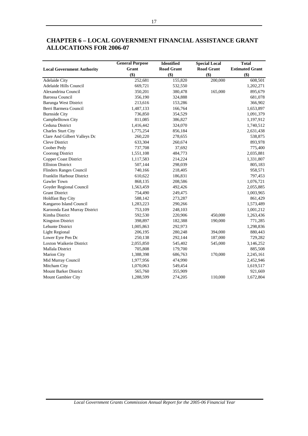|                                   | <b>General Purpose</b> | <b>Identified</b> | <b>Special Local</b> | <b>Total</b>           |
|-----------------------------------|------------------------|-------------------|----------------------|------------------------|
| <b>Local Government Authority</b> | Grant                  | <b>Road Grant</b> | <b>Road Grant</b>    | <b>Estimated Grant</b> |
|                                   | \$)                    | \$)               | \$)                  | \$)                    |
| <b>Adelaide City</b>              | 252,681                | 155,820           | 200,000              | 608,501                |
| Adelaide Hills Council            | 669,721                | 532,550           |                      | 1,202,271              |
| Alexandrina Council               | 350,201                | 380,478           | 165,000              | 895,679                |
| <b>Barossa Council</b>            | 356,190                | 324,888           |                      | 681,078                |
| <b>Barunga West District</b>      | 213,616                | 153,286           |                      | 366,902                |
| Berri Barmera Council             | 1,487,133              | 166,764           |                      | 1,653,897              |
| <b>Burnside City</b>              | 736,850                | 354,529           |                      | 1,091,379              |
| Campbelltown City                 | 811,085                | 386,827           |                      | 1,197,912              |
| Ceduna District                   | 1,416,442              | 324,070           |                      | 1,740,512              |
| <b>Charles Sturt City</b>         | 1,775,254              | 856,184           |                      | 2,631,438              |
| Clare And Gilbert Valleys Dc      | 260,220                | 278,655           |                      | 538,875                |
| <b>Cleve District</b>             | 633,304                | 260,674           |                      | 893,978                |
| Coober Pedy                       | 737,708                | 37,692            |                      | 775,400                |
| Coorong District                  | 1,551,108              | 484,773           |                      | 2,035,881              |
| <b>Copper Coast District</b>      | 1,117,583              | 214,224           |                      | 1,331,807              |
| <b>Elliston District</b>          | 507,144                | 298,039           |                      | 805,183                |
| Flinders Ranges Council           | 740,166                | 218,405           |                      | 958,571                |
| Franklin Harbour District         | 610,622                | 186,831           |                      | 797,453                |
| Gawler Town                       | 868,135                | 208,586           |                      | 1,076,721              |
| Goyder Regional Council           | 1,563,459              | 492,426           |                      | 2,055,885              |
| <b>Grant District</b>             | 754,490                | 249,475           |                      | 1,003,965              |
| <b>Holdfast Bay City</b>          | 588,142                | 273,287           |                      | 861,429                |
| Kangaroo Island Council           | 1,283,223              | 290,266           |                      | 1,573,489              |
| Karoonda East Murray District     | 753,109                | 248,103           |                      | 1,001,212              |
| Kimba District                    | 592,530                | 220,906           | 450,000              | 1,263,436              |
| <b>Kingston District</b>          | 398,897                | 182,388           | 190,000              | 771,285                |
| Lehunte District                  | 1,005,863              | 292,973           |                      | 1,298,836              |
| <b>Light Regional</b>             | 206,195                | 280,248           | 394,000              | 880,443                |
| Lower Eyre Pen Dc                 | 250,138                | 292,144           | 187,000              | 729,282                |
| Loxton Waikerie District          | 2,055,850              | 545,402           | 545,000              | 3,146,252              |
| Mallala District                  | 705,808                | 179,700           |                      | 885,508                |
| <b>Marion City</b>                | 1,388,398              | 686,763           | 170,000              | 2,245,161              |
| Mid Murray Council                | 1,977,956              | 474,990           |                      | 2,452,946              |
| Mitcham City                      | 1,070,063              | 549,454           |                      | 1,619,517              |
| <b>Mount Barker District</b>      | 565,760                | 355,909           |                      | 921,669                |
| Mount Gambier City                | 1,288,599              | 274,205           | 110,000              | 1,672,804              |

## <span id="page-19-0"></span>**CHAPTER 6 – LOCAL GOVERNMENT FINANCIAL ASSISTANCE GRANT ALLOCATIONS FOR 2006-07**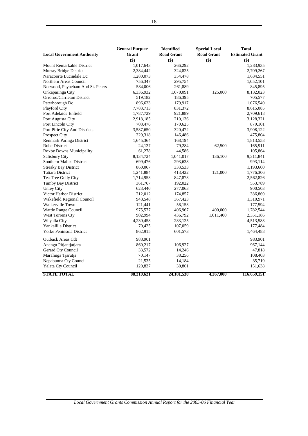|                                   | <b>General Purpose</b> | Identified        | <b>Special Local</b> | <b>Total</b>           |
|-----------------------------------|------------------------|-------------------|----------------------|------------------------|
| <b>Local Government Authority</b> | Grant                  | <b>Road Grant</b> | <b>Road Grant</b>    | <b>Estimated Grant</b> |
|                                   | \$)                    | \$)               | \$)                  | \$)                    |
| Mount Remarkable District         | 1,017,643              | 266,292           |                      | 1,283,935              |
| Murray Bridge District            | 2,384,442              | 324,825           |                      | 2,709,267              |
| Naracoorte Lucindale Dc           | 1,280,073              | 354,478           |                      | 1,634,551              |
| Northern Areas Council            | 756,347                | 295,754           |                      | 1,052,101              |
| Norwood, Payneham And St. Peters  | 584,006                | 261,889           |                      | 845,895                |
| Onkaparinga City                  | 6,336,932              | 1,670,091         | 125,000              | 8,132,023              |
| Orroroo/Carrieton District        | 519,182                | 186,395           |                      | 705,577                |
| Peterborough Dc                   | 896,623                | 179,917           |                      | 1,076,540              |
| Playford City                     | 7,783,713              | 831,372           |                      | 8,615,085              |
| Port Adelaide Enfield             | 1,787,729              | 921,889           |                      | 2,709,618              |
| Port Augusta City                 | 2,918,185              | 210,136           |                      | 3,128,321              |
| Port Lincoln City                 | 708,476                | 170,625           |                      | 879,101                |
| Port Pirie City And Districts     | 3,587,650              | 320,472           |                      | 3,908,122              |
| Prospect City                     | 329,318                | 146,486           |                      | 475,804                |
| Renmark Paringa District          | 1,645,364              | 168,194           |                      | 1,813,558              |
| Robe District                     | 24,127                 | 79,284            | 62,500               | 165,911                |
| <b>Roxby Downs Municipality</b>   | 61,278                 | 44,586            |                      | 105,864                |
| Salisbury City                    | 8,134,724              | 1,041,017         | 136,100              | 9,311,841              |
| Southern Mallee District          | 699,476                | 293,638           |                      | 993,114                |
| <b>Streaky Bay District</b>       | 860,067                | 333,533           |                      | 1,193,600              |
| <b>Tatiara District</b>           | 1,241,884              | 413,422           | 121,000              | 1,776,306              |
| Tea Tree Gully City               | 1,714,953              | 847,873           |                      | 2,562,826              |
| Tumby Bay District                | 361,767                | 192,022           |                      | 553,789                |
| <b>Unley City</b>                 | 623,440                | 277,063           |                      | 900,503                |
| Victor Harbor District            | 212,012                | 174,857           |                      | 386,869                |
| Wakefield Regional Council        | 943,548                | 367,423           |                      | 1,310,971              |
| Walkerville Town                  | 121,441                | 56,153            |                      | 177,594                |
| Wattle Range Council              | 975,577                | 406,967           | 400,000              | 1,782,544              |
| West Torrens Cty                  | 902,994                | 436,792           | 1,011,400            | 2,351,186              |
| Whyalla City                      | 4,230,458              | 283,125           |                      | 4,513,583              |
| Yankalilla District               | 70,425                 | 107,059           |                      | 177,484                |
| Yorke Peninsula District          | 862,915                | 601,573           |                      | 1,464,488              |
| <b>Outback Areas Cdt</b>          | 983,901                |                   |                      | 983,901                |
| Anangu Pitjantjatjara             | 860,217                | 106,927           |                      | 967,144                |
| Gerard Cty Council                | 33,572                 | 14,246            |                      | 47,818                 |
| Maralinga Tjarutja                | 70,147                 | 38,256            |                      | 108,403                |
| Nepabunna Cty Council             | 21,535                 | 14,184            |                      | 35,719                 |
| Yalata Cty Council                | 120,837                | 30,801            |                      | 151,638                |
| <b>STATE TOTAL</b>                | 88,210,621             | 24,181,530        | 4,267,000            | 116,659,151            |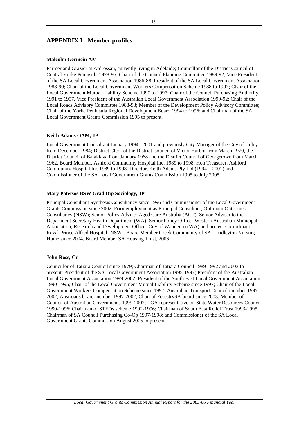## <span id="page-21-0"></span>**APPENDIX I - Member profiles**

### **Malcolm Germein AM**

Farmer and Grazier at Ardrossan, currently living in Adelaide; Councillor of the District Council of Central Yorke Peninsula 1978-95; Chair of the Council Planning Committee 1989-92; Vice President of the SA Local Government Association 1986-88; President of the SA Local Government Association 1988-90; Chair of the Local Government Workers Compensation Scheme 1988 to 1997; Chair of the Local Government Mutual Liability Scheme 1990 to 1997; Chair of the Council Purchasing Authority 1991 to 1997, Vice President of the Australian Local Government Association 1990-92; Chair of the Local Roads Advisory Committee 1988-93; Member of the Development Policy Advisory Committee; Chair of the Yorke Peninsula Regional Development Board 1994 to 1996; and Chairman of the SA Local Government Grants Commission 1995 to present.

### **Keith Adams OAM, JP**

Local Government Consultant January 1994 –2001 and previously City Manager of the City of Unley from December 1984; District Clerk of the District Council of Victor Harbor from March 1970, the District Council of Balaklava from January 1968 and the District Council of Georgetown from March 1962. Board Member, Ashford Community Hospital Inc, 1989 to 1998; Hon Treasurer, Ashford Community Hospital Inc 1989 to 1998. Director, Keith Adams Pty Ltd (1994 – 2001) and Commissioner of the SA Local Government Grants Commission 1995 to July 2005.

### **Mary Patetsos BSW Grad Dip Sociology, JP**

Principal Consultant Synthesis Consultancy since 1996 and Commissioner of the Local Government Grants Commission since 2002. Prior employment as Principal Consultant, Optimum Outcomes Consultancy (NSW); Senior Policy Adviser Aged Care Australia (ACT); Senior Adviser to the Department Secretary Health Department (WA); Senior Policy Officer Western Australian Municipal Association; Research and Development Officer City of Wanneroo (WA) and project Co-ordinator Royal Prince Alfred Hospital (NSW). Board Member Greek Community of SA – Ridleyton Nursing Home since 2004. Board Member SA Housing Trust, 2006.

### **John Ross, Cr**

Councillor of Tatiara Council since 1979; Chairman of Tatiara Council 1989-1992 and 2003 to present; President of the SA Local Government Association 1995-1997; President of the Australian Local Government Association 1999-2002; President of the South East Local Government Association 1990-1995; Chair of the Local Government Mutual Liability Scheme since 1997; Chair of the Local Government Workers Compensation Scheme since 1997; Australian Transport Council member 1997- 2002; Austroads board member 1997-2002; Chair of ForestrySA board since 2003; Member of Council of Australian Governments 1999-2002; LGA representative on State Water Resources Council 1990-1996; Chairman of STEDs scheme 1992-1996; Chairman of South East Relief Trust 1993-1995; Chairman of SA Council Purchasing Co-Op 1997-1998; and Commissioner of the SA Local Government Grants Commission August 2005 to present.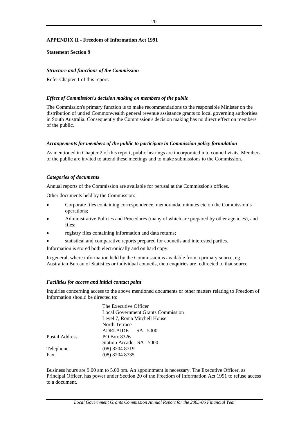## <span id="page-22-0"></span>**APPENDIX II - Freedom of Information Act 1991**

### **Statement Section 9**

## *Structure and functions of the Commission*

Refer Chapter 1 of this report.

## *Effect of Commission's decision making on members of the public*

The Commission's primary function is to make recommendations to the responsible Minister on the distribution of untied Commonwealth general revenue assistance grants to local governing authorities in South Australia. Consequently the Commission's decision making has no direct effect on members of the public.

### *Arrangements for members of the public to participate in Commission policy formulation*

As mentioned in Chapter 2 of this report, public hearings are incorporated into council visits. Members of the public are invited to attend these meetings and to make submissions to the Commission.

### *Categories of documents*

Annual reports of the Commission are available for perusal at the Commission's offices.

Other documents held by the Commission:

- Corporate files containing correspondence, memoranda, minutes etc on the Commission's operations;
- Administrative Policies and Procedures (many of which are prepared by other agencies), and files;
- registry files containing information and data returns;
- statistical and comparative reports prepared for councils and interested parties.

Information is stored both electronically and on hard copy.

In general, where information held by the Commission is available from a primary source, eg Australian Bureau of Statistics or individual councils, then enquiries are redirected to that source.

### *Facilities for access and initial contact point*

Inquiries concerning access to the above mentioned documents or other matters relating to Freedom of Information should be directed to:

|                | The Executive Officer                     |  |  |  |
|----------------|-------------------------------------------|--|--|--|
|                | <b>Local Government Grants Commission</b> |  |  |  |
|                | Level 7, Roma Mitchell House              |  |  |  |
|                | North Terrace                             |  |  |  |
|                | ADELAIDE SA 5000                          |  |  |  |
| Postal Address | PO Box 8326                               |  |  |  |
|                | Station Arcade SA 5000                    |  |  |  |
| Telephone      | $(08)$ 8204 8719                          |  |  |  |
| Fax            | $(08)$ 8204 8735                          |  |  |  |
|                |                                           |  |  |  |

Business hours are 9.00 am to 5.00 pm. An appointment is necessary. The Executive Officer, as Principal Officer, has power under Section 20 of the Freedom of Information Act 1991 to refuse access to a document.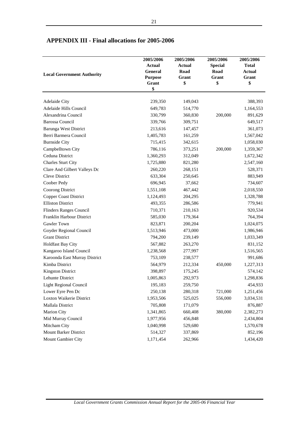| <b>Local Government Authority</b>             | 2005/2006<br>Actual<br>General<br><b>Purpose</b> | 2005/2006<br><b>Actual</b><br>Road<br>Grant | 2005/2006<br><b>Special</b><br>Road<br>Grant | 2005/2006<br><b>Total</b><br>Actual<br>Grant |
|-----------------------------------------------|--------------------------------------------------|---------------------------------------------|----------------------------------------------|----------------------------------------------|
|                                               | Grant<br>\$                                      | \$                                          | \$                                           | \$                                           |
|                                               |                                                  |                                             |                                              |                                              |
| <b>Adelaide City</b>                          | 239,350                                          | 149,043                                     |                                              | 388,393                                      |
| Adelaide Hills Council<br>Alexandrina Council | 649,783                                          | 514,770                                     |                                              | 1,164,553                                    |
|                                               | 330,799                                          | 360,830                                     | 200,000                                      | 891,629                                      |
| <b>Barossa Council</b>                        | 339,766                                          | 309,751                                     |                                              | 649,517                                      |
| Barunga West District                         | 213,616                                          | 147,457                                     |                                              | 361,073                                      |
| Berri Barmera Council                         | 1,405,783                                        | 161,259                                     |                                              | 1,567,042                                    |
| <b>Burnside City</b>                          | 715,415                                          | 342,615                                     |                                              | 1,058,030                                    |
| Campbelltown City                             | 786,116                                          | 373,251                                     | 200,000                                      | 1,359,367                                    |
| Ceduna District                               | 1,360,293                                        | 312,049                                     |                                              | 1,672,342                                    |
| Charles Sturt City                            | 1,725,880                                        | 821,280                                     |                                              | 2,547,160                                    |
| Clare And Gilbert Valleys Dc                  | 260,220                                          | 268,151                                     |                                              | 528,371                                      |
| <b>Cleve District</b>                         | 633,304                                          | 250,645                                     |                                              | 883,949                                      |
| Coober Pedy                                   | 696,945                                          | 37,662                                      |                                              | 734,607                                      |
| Coorong District                              | 1,551,108                                        | 467,442                                     |                                              | 2,018,550                                    |
| <b>Copper Coast District</b>                  | 1,124,493                                        | 204,295                                     |                                              | 1,328,788                                    |
| <b>Elliston District</b>                      | 493,355                                          | 286,586                                     |                                              | 779,941                                      |
| Flinders Ranges Council                       | 710,371                                          | 210,163                                     |                                              | 920,534                                      |
| Franklin Harbour District                     | 585,030                                          | 179,364                                     |                                              | 764,394                                      |
| Gawler Town                                   | 823,871                                          | 200,204                                     |                                              | 1,024,075                                    |
| Goyder Regional Council                       | 1,513,946                                        | 473,000                                     |                                              | 1,986,946                                    |
| <b>Grant District</b>                         | 794,200                                          | 239,149                                     |                                              | 1,033,349                                    |
| <b>Holdfast Bay City</b>                      | 567,882                                          | 263,270                                     |                                              | 831,152                                      |
| Kangaroo Island Council                       | 1,238,568                                        | 277,997                                     |                                              | 1,516,565                                    |
| Karoonda East Murray District                 | 753,109                                          | 238,577                                     |                                              | 991,686                                      |
| Kimba District                                | 564,979                                          | 212,334                                     | 450,000                                      | 1,227,313                                    |
| <b>Kingston District</b>                      | 398,897                                          | 175,245                                     |                                              | 574,142                                      |
| Lehunte District                              | 1,005,863                                        | 292,973                                     |                                              | 1,298,836                                    |
| Light Regional Council                        | 195,183                                          | 259,750                                     |                                              | 454,933                                      |
| Lower Eyre Pen Dc                             | 250,138                                          | 280,318                                     | 721,000                                      | 1,251,456                                    |
| Loxton Waikerie District                      | 1,953,506                                        | 525,025                                     | 556,000                                      | 3,034,531                                    |
| Mallala District                              | 705,808                                          | 171,079                                     |                                              | 876,887                                      |
| Marion City                                   | 1,341,865                                        | 660,408                                     | 380,000                                      | 2,382,273                                    |
| Mid Murray Council                            | 1,977,956                                        | 456,848                                     |                                              | 2,434,804                                    |
| Mitcham City                                  | 1,040,998                                        | 529,680                                     |                                              | 1,570,678                                    |
| Mount Barker District                         | 514,327                                          | 337,869                                     |                                              | 852,196                                      |
| Mount Gambier City                            | 1,171,454                                        | 262,966                                     |                                              | 1,434,420                                    |

## <span id="page-23-0"></span>**APPENDIX III - Final allocations for 2005-2006**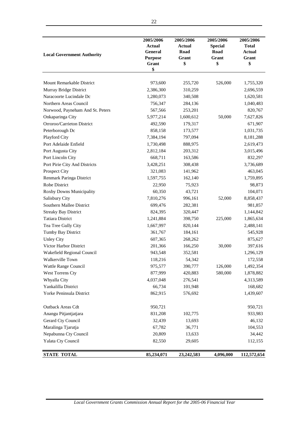| <b>Local Government Authority</b> | 2005/2006<br>Actual<br>General<br><b>Purpose</b><br>Grant | 2005/2006<br>Actual<br>Road<br>Grant<br>\$ | 2005/2006<br><b>Special</b><br>Road<br>Grant<br>\$ | 2005/2006<br>Total<br>Actual<br>Grant<br>\$ |
|-----------------------------------|-----------------------------------------------------------|--------------------------------------------|----------------------------------------------------|---------------------------------------------|
|                                   | \$                                                        |                                            |                                                    |                                             |
| Mount Remarkable District         | 973,600                                                   | 255,720                                    | 526,000                                            | 1,755,320                                   |
| Murray Bridge District            | 2,386,300                                                 | 310,259                                    |                                                    | 2,696,559                                   |
| Naracoorte Lucindale Dc           | 1,280,073                                                 | 340,508                                    |                                                    | 1,620,581                                   |
| Northern Areas Council            | 756,347                                                   | 284,136                                    |                                                    | 1,040,483                                   |
| Norwood, Payneham And St. Peters  | 567,566                                                   | 253,201                                    |                                                    | 820,767                                     |
| Onkaparinga City                  | 5,977,214                                                 | 1,600,612                                  | 50,000                                             | 7,627,826                                   |
| Orroroo/Carrieton District        | 492,590                                                   | 179,317                                    |                                                    | 671,907                                     |
| Peterborough Dc                   | 858,158                                                   | 173,577                                    |                                                    | 1,031,735                                   |
| Playford City                     | 7,384,194                                                 | 797,094                                    |                                                    | 8,181,288                                   |
| Port Adelaide Enfield             | 1,730,498                                                 | 888,975                                    |                                                    | 2,619,473                                   |
| Port Augusta City                 | 2,812,184                                                 | 203,312                                    |                                                    | 3,015,496                                   |
| Port Lincoln City                 | 668,711                                                   | 163,586                                    |                                                    | 832,297                                     |
| Port Pirie City And Districts     | 3,428,251                                                 | 308,438                                    |                                                    | 3,736,689                                   |
| Prospect City                     | 321,083                                                   | 141,962                                    |                                                    | 463,045                                     |
| Renmark Paringa District          | 1,597,755                                                 | 162,140                                    |                                                    | 1,759,895                                   |
| Robe District                     | 22,950                                                    | 75,923                                     |                                                    | 98,873                                      |
| Roxby Downs Municipality          | 60,350                                                    | 43,721                                     |                                                    | 104,071                                     |
| Salisbury City                    | 7,810,276                                                 | 996,161                                    | 52,000                                             | 8,858,437                                   |
| Southern Mallee District          | 699,476                                                   | 282,381                                    |                                                    | 981,857                                     |
| <b>Streaky Bay District</b>       | 824,395                                                   | 320,447                                    |                                                    | 1,144,842                                   |
| <b>Tatiara District</b>           | 1,241,884                                                 | 398,750                                    | 225,000                                            | 1,865,634                                   |
| Tea Tree Gully City               | 1,667,997                                                 | 820,144                                    |                                                    | 2,488,141                                   |
| Tumby Bay District                | 361,767                                                   | 184,161                                    |                                                    | 545,928                                     |
| <b>Unley City</b>                 | 607,365                                                   | 268,262                                    |                                                    | 875,627                                     |
| Victor Harbor District            | 201,366                                                   | 166,250                                    | 30,000                                             | 397,616                                     |
| Wakefield Regional Council        | 943,548                                                   | 352,581                                    |                                                    | 1,296,129                                   |
| Walkerville Town                  | 118,216                                                   | 54,342                                     |                                                    | 172,558                                     |
| Wattle Range Council              | 975,577                                                   | 390,777                                    | 126,000                                            | 1,492,354                                   |
| West Torrens Cty                  | 877,999                                                   | 420,883                                    | 580,000                                            | 1,878,882                                   |
| Whyalla City                      | 4,037,048                                                 | 276,541                                    |                                                    | 4,313,589                                   |
| Yankalilla District               | 66,734                                                    | 101,948                                    |                                                    | 168,682                                     |
| Yorke Peninsula District          | 862,915                                                   | 576,692                                    |                                                    | 1,439,607                                   |
| Outback Areas Cdt                 | 950,721                                                   |                                            |                                                    | 950,721                                     |
| Anangu Pitjantjatjara             | 831,208                                                   | 102,775                                    |                                                    | 933,983                                     |
| Gerard Cty Council                | 32,439                                                    | 13,693                                     |                                                    | 46,132                                      |
| Maralinga Tjarutja                | 67,782                                                    | 36,771                                     |                                                    | 104,553                                     |
| Nepabunna Cty Council             | 20,809                                                    | 13,633                                     |                                                    | 34,442                                      |
| Yalata Cty Council                | 82,550                                                    | 29,605                                     |                                                    | 112,155                                     |
| <b>STATE TOTAL</b>                | 85,234,071                                                | 23,242,583                                 | 4,096,000                                          | 112,572,654                                 |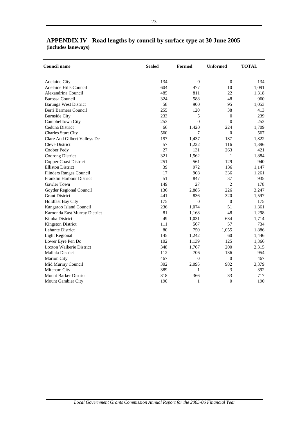| <b>Council name</b>             | <b>Sealed</b> | Formed           | <b>Unformed</b>  | <b>TOTAL</b> |
|---------------------------------|---------------|------------------|------------------|--------------|
| <b>Adelaide City</b>            | 134           | $\boldsymbol{0}$ | $\boldsymbol{0}$ | 134          |
| Adelaide Hills Council          | 604           | 477              | 10               | 1,091        |
| Alexandrina Council             | 485           | 811              | 22               | 1,318        |
| <b>Barossa Council</b>          | 324           | 588              | 48               | 960          |
| <b>Barunga West District</b>    | 58            | 900              | 95               | 1,053        |
| Berri Barmera Council           | 255           | 120              | 38               | 413          |
| <b>Burnside City</b>            | 233           | 5                | $\mathbf{0}$     | 239          |
| Campbelltown City               | 253           | $\overline{0}$   | $\overline{0}$   | 253          |
| Ceduna District                 | 66            | 1,420            | 224              | 1,709        |
| <b>Charles Sturt City</b>       | 560           | 7                | $\mathbf{0}$     | 567          |
| Clare And Gilbert Valleys Dc    | 197           | 1,437            | 187              | 1,822        |
| <b>Cleve District</b>           | 57            | 1,222            | 116              | 1,396        |
| Coober Pedy                     | 27            | 131              | 263              | 421          |
| Coorong District                | 321           | 1,562            | $\mathbf{1}$     | 1,884        |
| Copper Coast District           | 251           | 561              | 129              | 940          |
| <b>Elliston District</b>        | 39            | 972              | 136              | 1,147        |
| Flinders Ranges Council         | 17            | 908              | 336              | 1,261        |
| Franklin Harbour District       | 51            | 847              | 37               | 935          |
| Gawler Town                     | 149           | 27               | $\overline{2}$   | 178          |
| Goyder Regional Council         | 136           | 2,885            | 226              | 3,247        |
| <b>Grant District</b>           | 441           | 836              | 320              | 1,597        |
| <b>Holdfast Bay City</b>        | 175           | $\overline{0}$   | $\boldsymbol{0}$ | 175          |
| Kangaroo Island Council         | 236           | 1,074            | 51               | 1,361        |
| Karoonda East Murray District   | 81            | 1,168            | 48               | 1,298        |
| Kimba District                  | 49            | 1,031            | 634              | 1,714        |
| <b>Kingston District</b>        | 111           | 567              | 57               | 734          |
| Lehunte District                | 80            | 750              | 1,055            | 1,886        |
| <b>Light Regional</b>           | 145           | 1,242            | 60               | 1,446        |
| Lower Eyre Pen Dc               | 102           | 1,139            | 125              | 1,366        |
| <b>Loxton Waikerie District</b> | 348           | 1,767            | 200              | 2,315        |
| Mallala District                | 112           | 706              | 136              | 954          |
| <b>Marion City</b>              | 467           | $\overline{0}$   | $\mathbf{0}$     | 467          |
| Mid Murray Council              | 302           | 2,095            | 982              | 3,379        |
| Mitcham City                    | 389           | 1                | $\mathfrak{Z}$   | 392          |
| <b>Mount Barker District</b>    | 318           | 366              | 33               | 717          |
| Mount Gambier City              | 190           | $\mathbf{1}$     | $\overline{0}$   | 190          |

## <span id="page-25-0"></span>**APPENDIX IV - Road lengths by council by surface type at 30 June 2005 (includes laneways)**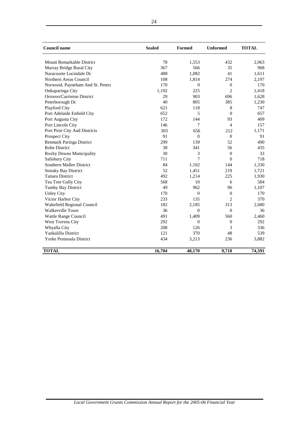| <b>Council name</b>              | <b>Sealed</b> | <b>Formed</b>  | <b>Unformed</b> | <b>TOTAL</b> |
|----------------------------------|---------------|----------------|-----------------|--------------|
| <b>Mount Remarkable District</b> | 78            | 1,553          | 432             | 2,063        |
| Murray Bridge Rural City         | 367           | 566            | 35              | 968          |
| Naracoorte Lucindale Dc          | 488           | 1.082          | 41              | 1,611        |
| Northern Areas Council           | 108           | 1,814          | 274             | 2,197        |
| Norwood, Payneham And St. Peters | 170           | $\mathbf{0}$   | $\mathbf{0}$    | 170          |
| Onkaparinga City                 | 1,192         | 225            | $\overline{2}$  | 1,418        |
| Orroroo/Carrieton District       | 29            | 903            | 696             | 1,628        |
| Peterborough Dc                  | 40            | 805            | 385             | 1,230        |
| Playford City                    | 621           | 118            | 8               | 747          |
| Port Adelaide Enfield City       | 652           | 5              | $\overline{0}$  | 657          |
| Port Augusta City                | 172           | 144            | 93              | 409          |
| Port Lincoln City                | 146           | 7              | $\overline{4}$  | 157          |
| Port Pirie City And Districts    | 303           | 656            | 212             | 1,171        |
| <b>Prospect City</b>             | 91            | $\overline{0}$ | $\mathbf{0}$    | 91           |
| Renmark Paringa District         | 299           | 139            | 52              | 490          |
| <b>Robe District</b>             | 38            | 341            | 56              | 435          |
| Roxby Downs Municipality         | 30            | 3              | $\Omega$        | 33           |
| Salisbury City                   | 711           | 7              | $\Omega$        | 718          |
| Southern Mallee District         | 84            | 1,102          | 144             | 1,330        |
| <b>Streaky Bay District</b>      | 52            | 1,451          | 219             | 1,721        |
| <b>Tatiara District</b>          | 492           | 1,214          | 225             | 1,930        |
| Tea Tree Gully City              | 568           | 10             | 6               | 584          |
| Tumby Bay District               | 49            | 962            | 96              | 1,107        |
| <b>Unley City</b>                | 170           | $\overline{0}$ | $\overline{0}$  | 170          |
| Victor Harbor City               | 233           | 135            | $\overline{c}$  | 370          |
| Wakefield Regional Council       | 182           | 2,185          | 313             | 2,680        |
| <b>Walkerville Town</b>          | 36            | $\overline{0}$ | $\overline{0}$  | 36           |
| Wattle Range Council             | 491           | 1,409          | 560             | 2,460        |
| <b>West Torrens City</b>         | 292           | $\overline{0}$ | $\mathbf{0}$    | 292          |
| Whyalla City                     | 208           | 126            | 3               | 336          |
| Yankalilla District              | 121           | 370            | 48              | 539          |
| <b>Yorke Peninsula District</b>  | 434           | 3,213          | 236             | 3,882        |
| <b>TOTAL</b>                     | 16,704        | 48,170         | 9,718           | 74,591       |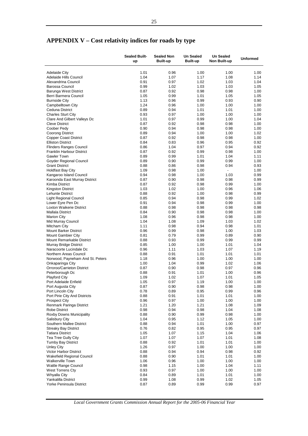# <span id="page-27-0"></span>**APPENDIX V – Cost relativity indices for roads by type**

|                                                           | <b>Sealed Built-</b><br>up | <b>Sealed Non</b><br><b>Built-up</b> | <b>Un Sealed</b><br><b>Built-up</b> | <b>Un Sealed</b><br>Non Built-up | <b>Unformed</b> |
|-----------------------------------------------------------|----------------------------|--------------------------------------|-------------------------------------|----------------------------------|-----------------|
|                                                           | 1.01                       | 0.96                                 | 1.00                                | 1.00                             | 1.00            |
| <b>Adelaide City</b><br>Adelaide Hills Council            | 1.04                       | 1.07                                 | 1.17                                | 1.08                             | 1.14            |
| Alexandrina Council                                       | 0.91                       | 0.97                                 | 1.02                                | 1.03                             | 1.04            |
| <b>Barossa Council</b>                                    | 0.99                       | 1.02                                 | 1.03                                | 1.03                             | 1.05            |
| Barunga West District                                     | 0.87                       | 0.92                                 | 0.98                                | 0.98                             | 1.00            |
| Berri Barmera Council                                     | 1.05                       | 0.99                                 | 1.01                                | 1.05                             | 1.05            |
| <b>Burnside City</b>                                      | 1.13                       | 0.96                                 | 0.99                                | 0.93                             | 0.90            |
| Campbelltown City                                         | 1.24                       | 0.96                                 | 1.00                                | 1.00                             | 1.00            |
| Ceduna District                                           | 0.89                       | 0.94                                 | 1.01                                | 1.01                             | 1.00            |
| <b>Charles Sturt City</b>                                 | 0.93<br>1.01               | 0.97<br>0.97                         | 1.00<br>0.99                        | 1.00<br>1.00                     | 1.00<br>1.04    |
| Clare And Gilbert Valleys Dc<br><b>Cleve District</b>     | 0.87                       | 0.92                                 | 0.98                                | 0.98                             | 1.00            |
| Coober Pedy                                               | 0.90                       | 0.94                                 | 0.98                                | 0.98                             | 1.00            |
| Coorong District                                          | 0.89                       | 0.94                                 | 1.00                                | 1.00                             | 1.02            |
| <b>Copper Coast District</b>                              | 0.87                       | 0.92                                 | 0.98                                | 0.98                             | 1.00            |
| <b>Elliston District</b>                                  | 0.84                       | 0.83                                 | 0.96                                | 0.95                             | 0.92            |
| <b>Flinders Ranges Council</b>                            | 0.86                       | 1.04                                 | 0.97                                | 0.94                             | 0.92            |
| <b>Franklin Harbour District</b>                          | 0.87                       | 0.92                                 | 0.99                                | 0.98                             | 1.00            |
| <b>Gawler Town</b>                                        | 0.89                       | 0.99                                 | 1.01                                | 1.04                             | 1.11            |
| Goyder Regional Council                                   | 0.89                       | 0.90                                 | 0.99                                | 0.99                             | 1.00            |
| <b>Grant District</b>                                     | 0.88                       | 0.86                                 | 0.98                                | 0.94                             | 0.93            |
| <b>Holdfast Bay City</b>                                  | 1.09                       | 0.98                                 | 1.00                                | $\frac{1}{2}$                    | 1.00            |
| Kangaroo Island Council<br>Karoonda East Murray District  | 0.94<br>0.87               | 0.98<br>0.90                         | 1.00<br>0.98                        | 1.03<br>0.98                     | 0.99<br>0.99    |
| Kimba District                                            | 0.87                       | 0.92                                 | 0.98                                | 0.99                             | 1.00            |
| <b>Kingston District</b>                                  | 1.03                       | 1.02                                 | 1.00                                | 0.96                             | 1.06            |
| <b>Lehunte District</b>                                   | 0.88                       | 0.92                                 | 1.00                                | 0.98                             | 0.99            |
| <b>Light Regional Council</b>                             | 0.85                       | 0.94                                 | 0.98                                | 0.99                             | 1.02            |
| Lower Eyre Pen Dc                                         | 0.91                       | 0.94                                 | 0.98                                | 0.99                             | 1.00            |
| Loxton Waikerie District                                  | 0.88                       | 0.98                                 | 0.98                                | 0.98                             | 0.98            |
| <b>Mallala District</b>                                   | 0.84                       | 0.90                                 | 0.98                                | 0.98                             | 1.00            |
| <b>Marion City</b>                                        | 1.08                       | 0.96                                 | 0.98                                | 0.98                             | 1.00            |
| Mid Murray Council                                        | 1.04                       | 1.08                                 | 1.09                                | 1.03                             | 1.02            |
| Mitcham City                                              | 1.11                       | 0.98                                 | 0.94                                | 0.98                             | 1.01            |
| <b>Mount Barker District</b><br><b>Mount Gambier City</b> | 0.96<br>0.81               | 0.99<br>0.79                         | 0.98<br>0.99                        | 1.00<br>0.89                     | 1.03<br>0.90    |
| Mount Remarkable District                                 | 0.88                       | 0.93                                 | 0.99                                | 0.99                             | 0.99            |
| Murray Bridge District                                    | 0.85                       | 1.00                                 | 1.00                                | 1.01                             | 1.04            |
| Naracoorte Lucindale Dc                                   | 0.96                       | 1.11                                 | 1.03                                | 1.07                             | 1.19            |
| Northern Areas Council                                    | 0.88                       | 0.91                                 | 1.01                                | 1.01                             | 1.01            |
| Norwood, Payneham And St. Peters                          | 1.18                       | 0.96                                 | 1.00                                | 1.00                             | 1.00            |
| Onkaparinga City                                          | 1.00                       | 1.04                                 | 0.99                                | 1.02                             | 1.06            |
| Orroroo/Carrieton District                                | 0.87                       | 0.90                                 | 0.98                                | 0.97                             | 0.96            |
| Peterborough Dc                                           | 0.88                       | 0.91                                 | 1.01                                | 1.00                             | 0.96            |
| <b>Playford City</b>                                      | 1.09                       | 1.02                                 | 1.07                                | 1.01                             | 1.05            |
| Port Adelaide Enfield                                     | 1.05                       | 0.97                                 | 1.19                                | 1.00                             | 1.00            |
| Port Augusta City<br>Port Lincoln City                    | 0.87<br>0.78               | 0.90<br>0.89                         | 0.98<br>0.95                        | 0.98<br>0.99                     | 1.00<br>0.96    |
| Port Pirie City And Districts                             | 0.88                       | 0.91                                 | 1.01                                | 1.01                             | 1.00            |
| <b>Prospect City</b>                                      | 0.96                       | 0.97                                 | 1.00                                | 1.00                             | 1.00            |
| Renmark Paringa District                                  | 1.21                       | 1.20                                 | 1.21                                | 1.08                             | 1.09            |
| <b>Robe District</b>                                      | 0.98                       | 0.94                                 | 0.98                                | 1.04                             | 1.08            |
| Roxby Downs Municipality                                  | 0.88                       | 0.90                                 | 0.99                                | 0.98                             | 1.00            |
| <b>Salisbury City</b>                                     | 1.04                       | 0.95                                 | 1.12                                | 1.05                             | 1.00            |
| Southern Mallee District                                  | 0.88                       | 0.94                                 | 1.01                                | 1.00                             | 0.97            |
| <b>Streaky Bay District</b>                               | 0.76                       | 0.82                                 | 0.95                                | 0.95                             | 0.97            |
| <b>Tatiara District</b>                                   | 1.05                       | 1.07                                 | 1.15                                | 1.04                             | 1.06            |
| Tea Tree Gully City<br><b>Tumby Bay District</b>          | 1.07<br>0.88               | 1.07<br>0.92                         | 1.07<br>1.01                        | 1.01<br>1.01                     | 1.08<br>1.00    |
| Unley City                                                | 1.26                       | 0.97                                 | 1.00                                | 1.00                             | 1.00            |
| <b>Victor Harbor District</b>                             | 0.88                       | 0.94                                 | 0.94                                | 0.98                             | 0.92            |
| <b>Wakefield Regional Council</b>                         | 0.88                       | 0.90                                 | 1.01                                | 1.01                             | 1.00            |
| <b>Walkerville Town</b>                                   | 1.06                       | 0.96                                 | 1.00                                | 1.00                             | 1.00            |
| <b>Wattle Range Council</b>                               | 0.98                       | 1.15                                 | 1.00                                | 1.04                             | 1.11            |
| West Torrens Cty                                          | 0.93                       | 0.97                                 | 1.00                                | 1.00                             | 1.00            |
| Whyalla City                                              | 0.84                       | 0.89                                 | 1.01                                | 1.01                             | 1.00            |
| Yankalilla District                                       | 0.99                       | 1.08                                 | 0.99                                | 1.02                             | 1.05            |
| Yorke Peninsula District                                  | 0.87                       | 0.89                                 | 0.99                                | 0.99                             | 0.97            |

*Local Government Grants Commission Annual Report for the 2005-06 Financial Year*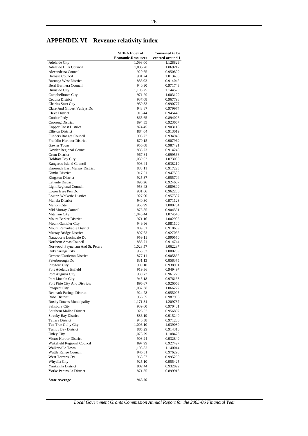# <span id="page-28-0"></span>**APPENDIX VI – Revenue relativity index**

|                                                            | <b>SEIFA Index of</b>     | <b>Converted to be</b> |
|------------------------------------------------------------|---------------------------|------------------------|
|                                                            | <b>Economic-Resources</b> | centred around 1       |
| <b>Adelaide City</b>                                       | 1,093.00                  | 1.128829               |
| Adelaide Hills Council<br>Alexandrina Council              | 1,035.28<br>920.65        | 1.069217<br>0.950829   |
| <b>Barossa Council</b>                                     | 981.24                    | 1.013405               |
| <b>Barunga West District</b>                               | 885.03                    | 0.914042               |
| Berri Barmera Council                                      | 940.90                    | 0.971743               |
| <b>Burnside City</b>                                       | 1,108.25                  | 1.144579               |
| Campbelltown City                                          | 971.29                    | 1.003129               |
| Ceduna District                                            | 937.08                    | 0.967798               |
| <b>Charles Sturt City</b><br>Clare And Gilbert Valleys Dc  | 959.33<br>948.87          | 0.990777<br>0.979974   |
| <b>Cleve District</b>                                      | 915.44                    | 0.945449               |
| Coober Pedy                                                | 865.65                    | 0.894026               |
| Coorong District                                           | 894.35                    | 0.923667               |
| <b>Copper Coast District</b>                               | 874.45                    | 0.903115               |
| <b>Elliston District</b>                                   | 884.04                    | 0.913019               |
| Flinders Ranges Council<br>Franklin Harbour District       | 905.27<br>879.15          | 0.934945<br>0.907969   |
| Gawler Town                                                | 956.08                    | 0.987421               |
| Goyder Regional Council                                    | 885.23                    | 0.914248               |
| <b>Grant District</b>                                      | 967.84                    | 0.999566               |
| <b>Holdfast Bay City</b>                                   | 1,039.02                  | 1.073080               |
| Kangaroo Island Council                                    | 908.44                    | 0.938219               |
| Karoonda East Murray District                              | 888.11                    | 0.917223               |
| Kimba District<br><b>Kingston District</b>                 | 917.51<br>925.37          | 0.947586<br>0.955704   |
| Lehunte District                                           | 895.26                    | 0.924607               |
| <b>Light Regional Council</b>                              | 958.48                    | 0.989899               |
| Lower Eyre Pen Dc                                          | 931.66                    | 0.962200               |
| <b>Loxton Waikerie District</b>                            | 927.00                    | 0.957387               |
| Mallala District                                           | 940.30                    | 0.971123               |
| <b>Marion City</b>                                         | 968.99                    | 1.000754               |
| Mid Murray Council<br>Mitcham City                         | 875.85<br>1,040.44        | 0.904561<br>1.074546   |
| Mount Barker District                                      | 971.16                    | 1.002995               |
| Mount Gambier City                                         | 949.96                    | 0.981100               |
| Mount Remarkable District                                  | 889.51                    | 0.918669               |
| Murray Bridge District                                     | 897.63                    | 0.927055               |
| Naracoorte Lucindale Dc                                    | 959.11                    | 0.990550               |
| Northern Areas Council<br>Norwood, Payneham And St. Peters | 885.71<br>1,028.57        | 0.914744<br>1.062287   |
| Onkaparinga City                                           | 968.52                    | 1.000269               |
| Orroroo/Carrieton District                                 | 877.11                    | 0.905862               |
| Peterborough Dc                                            | 831.13                    | 0.858375               |
| Playford City                                              | 909.10                    | 0.938901               |
| Port Adelaide Enfield                                      | 919.36                    | 0.949497               |
| Port Augusta City                                          | 930.72                    | 0.961229               |
| Port Lincoln City<br>Port Pirie City And Districts         | 945.18                    | 0.976163               |
| Prospect City                                              | 896.67<br>1,032.38        | 0.926063<br>1.066222   |
| Renmark Paringa District                                   | 924.78                    | 0.955095               |
| Robe District                                              | 956.55                    | 0.987906               |
| Roxby Downs Municipality                                   | 1,171.34                  | 1.209737               |
| Salisbury City                                             | 939.60                    | 0.970401               |
| Southern Mallee District                                   | 926.52<br>886.19          | 0.956892               |
| <b>Streaky Bay District</b><br><b>Tatiara District</b>     | 940.38                    | 0.915240<br>0.971206   |
| Tea Tree Gully City                                        | 1,006.10                  | 1.039080               |
| <b>Tumby Bay District</b>                                  | 885.29                    | 0.914310               |
| <b>Unley City</b>                                          | 1,073.29                  | 1.108473               |
| Victor Harbor District                                     | 903.24                    | 0.932849               |
| Wakefield Regional Council                                 | 897.99                    | 0.927427               |
| Walkerville Town<br>Wattle Range Council                   | 1,103.83                  | 1.140014               |
| West Torrens Cty                                           | 945.31<br>963.67          | 0.976298<br>0.995260   |
| Whyalla City                                               | 925.10                    | 0.955425               |
| Yankalilla District                                        | 902.44                    | 0.932022               |
| Yorke Peninsula District                                   | 871.35                    | 0.899913               |
| <b>State Average</b>                                       | 968.26                    |                        |
|                                                            |                           |                        |

*Local Government Grants Commission Annual Report for the 2005-06 Financial Year*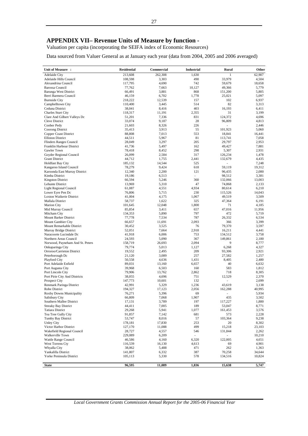## <span id="page-29-0"></span>**APPENDIX VII– Revenue Units of Measure by function -**

Valuation per capita (incorporating the SEIFA index of Economic Resources)

Data sourced from Valuer General as at January each year (data from 2004, 2005 and 2006 averaged)

| Unit of Measure :                                        | <b>Residential</b> | Commercial      | <b>Industrial</b>        | Rural             | Other           |
|----------------------------------------------------------|--------------------|-----------------|--------------------------|-------------------|-----------------|
| <b>Adelaide City</b>                                     | 213,608            | 262,308         | 1,630                    |                   | 62,907          |
| Adelaide Hills Council                                   | 108,598            | 3,303           | 490                      | 33,979            | 4,504           |
| Alexandrina Council                                      | 117,795            | 4,690           | 742                      | 59,679            | 18,658          |
| Barossa Council                                          | 77,762             | 7,663           | 10,127                   | 49,366            | 5,779           |
| <b>Barunga West District</b><br>Berri Barmera Council    | 66,491             | 3,881<br>6,702  | 868<br>1,778             | 151,200<br>25,021 | 5,805<br>5,097  |
| <b>Burnside City</b>                                     | 46,159<br>218,222  | 12,539          | 157                      | 102               | 6,937           |
| Campbelltown City                                        | 110,400            | 3,445           | 514                      | 82                | 3,313           |
| Ceduna District                                          | 38,041             | 8,416           | 403                      | 16,193            | 6,411           |
| Charles Sturt City                                       | 118,317            | 11,191          | 2,355                    | 31                | 3,199           |
| Clare And Gilbert Valleys Dc                             | 51,201             | 7,336           | 831                      | 124,372           | 4,696           |
| <b>Cleve District</b>                                    | 33,074             | 9,187           | 28                       | 96,809            | 4,813           |
| Coober Pedy                                              | 21,603             | 8,326           | 226                      |                   | 2,446           |
| Coorong District                                         | 35,413             | 3,913           | 55                       | 101,923           | 5,060           |
| <b>Copper Coast District</b><br><b>Elliston District</b> | 88,808<br>44,511   | 7,013<br>5,967  | 553<br>81                | 18,841<br>113,741 | 16,441<br>7,058 |
| Flinders Ranges Council                                  | 28,049             | 3,297           | 205                      | 29,797            | 2,953           |
| Franklin Harbour District                                | 41,736             | 5,497           | 162                      | 49,427            | 7,881           |
| Gawler Town                                              | 78,418             | 8,452           | 298                      | 5,307             | 2,931           |
| Goyder Regional Council                                  | 26,099             | 2,584           | 317                      | 126,234           | 1,478           |
| <b>Grant District</b>                                    | 44,712             | 1,755           | 2,441                    | 132,679           | 4,435           |
| <b>Holdfast Bay City</b>                                 | 185,132            | 14,544          | 525                      |                   | 7,248           |
| Kangaroo Island Council                                  | 78,279             | 9,424           | 618                      | 59,119            | 19,312          |
| Karoonda East Murray District                            | 12,340             | 2,200           | 121                      | 96,435            | 2,080           |
| Kimba District                                           | 19,186             | 6,513           | ä,                       | 98,512            | 3,381           |
| <b>Kingston District</b>                                 | 66,594             | 5,246           | 360                      | 132,066           | 13,003          |
| Lehunte District<br>Light Regional Council               | 13,969<br>61,087   | 5,310<br>4,551  | 47<br>4,934              | 74,868<br>80,614  | 2,133<br>6,210  |
| Lower Eyre Pen Dc                                        | 76,806             | 5,715           | 230                      | 115,526           | 14,043          |
| Loxton Waikerie District                                 | 41,004             | 4,175           | 1,067                    | 49,519            | 3,509           |
| Mallala District                                         | 58,737             | 1,622           | 325                      | 47,364            | 6,191           |
| <b>Marion City</b>                                       | 101,645            | 12,048          | 1,800                    | 71                | 4,185           |
| Mid Murray Council                                       | 85,854             | 3,411           | 657                      | 47,016            | 11,956          |
| Mitcham City                                             | 134,353            | 5,890           | 797                      | 472               | 5,719           |
| Mount Barker District                                    | 77,778             | 7,534           | 787                      | 26,332            | 6,534           |
| Mount Gambier City                                       | 66,657             | 11,691          | 2,093                    | 366               | 3,399           |
| Mount Remarkable District                                | 30,452             | 3,525           | 76<br>2,918              | 79,370            | 3,597           |
| Murray Bridge District<br>Naracoorte Lucindale Dc        | 52,051<br>41,918   | 7,664<br>6,006  | 753                      | 16,211<br>134,512 | 4,441<br>3,758  |
| Northern Areas Council                                   | 24,593             | 5,090           | 367                      | 149,861           | 2,180           |
| Norwood, Payneham And St. Peters                         | 158,719            | 26,693          | 2,094                    | 9                 | 8,777           |
| Onkaparinga City                                         | 79,774             | 5,013           | 1,127                    | 6,268             | 4,327           |
| Orroroo/Carrieton District                               | 19,552             | 2,495           | 209                      | 93,306            | 2,921           |
| Peterborough Dc                                          | 21,120             | 3,089           | 257                      | 27,582            | 1,257           |
| Playford City                                            | 50,558             | 4,636           | 1,431                    | 8,405             | 2,480           |
| Port Adelaide Enfield                                    | 89,031             | 13,160          | 6,657                    | 40                | 6,632           |
| Port Augusta City                                        | 39,968             | 6,503           | 160                      | 583<br>718        | 1,812           |
| Port Lincoln City<br>Port Pirie City And Districts       | 79,906<br>38,055   | 13,762<br>4,696 | 2,862<br>751             | 12,529            | 8,305<br>2,370  |
| <b>Prospect City</b>                                     | 147,773            | 10,601          | 132                      |                   | 2,699           |
| Renmark Paringa District                                 | 42,991             | 5,329           | 1,236                    | 43,619            | 3,138           |
| Robe District                                            | 194,327            | 17,123          | 2,056                    | 162,288           | 40,995          |
| Roxby Downs Municipality                                 | 76,271             | 5,396           | 69                       |                   | 5,934           |
| Salisbury City                                           | 66,809             | 7,068           | 1,907                    | 435               | 3,502           |
| Southern Mallee District                                 | 17,131             | 3,789           | 197                      | 117,227           | 1,880           |
| <b>Streaky Bay District</b>                              | 44,411             | 7,005           | 189                      | 53,047            | 8,771           |
| <b>Tatiara District</b>                                  | 29,268             | 5,941           | 1,077                    | 161,453           | 3,576           |
| Tea Tree Gully City<br>Tumby Bay District                | 91,857<br>53,747   | 7,142<br>8,016  | 681<br>57                | 573<br>103,364    | 2,228<br>9,238  |
| <b>Unley City</b>                                        | 178,181            | 17,830          | 253                      | 20                | 8,302           |
| Victor Harbor District                                   | 127,170            | 11,088          | 499                      | 15,218            | 23,103          |
| Wakefield Regional Council                               | 28,727             | 4,557           | 546                      | 131,844           | 2,262           |
| Walkerville Town                                         | 229,089            | 6,209           | $\overline{\phantom{a}}$ | ٠                 | 10,210          |
| Wattle Range Council                                     | 46,586             | 4,160           | 6,320                    | 122,005           | 4,651           |
| West Torrens Cty                                         | 116,539            | 16,130          | 4,613                    | 69                | 4,901           |
| Whyalla City                                             | 38,062             | 5,488           | 471                      | 262               | 1,363           |
| Yankalilla District                                      | 141,807            | 6,332           | 387                      | 70,258            | 34,644          |
| Yorke Peninsula District                                 | 105,113            | 5,330           | 578                      | 134,516           | 10,824          |
| <b>State</b>                                             | 96,595             | 11,089          | 1,836                    | 15,638            | 5,747           |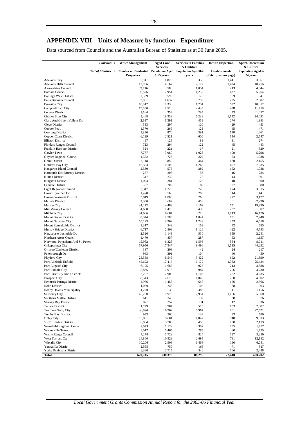## <span id="page-30-0"></span>**APPENDIX VIII – Units of Measure by function - Expenditure**

Data sourced from Councils and the Australian Bureau of Statistics as at 30 June 2005.

|                                                          | <b>Function:</b> | <b>Waste Management</b>                                                        | <b>Aged Care</b><br><b>Services</b> | <b>Services to Families</b><br>& Children | <b>Health Inspection</b>                       | <b>Sport, Recreation</b><br>& Culture |
|----------------------------------------------------------|------------------|--------------------------------------------------------------------------------|-------------------------------------|-------------------------------------------|------------------------------------------------|---------------------------------------|
|                                                          | Unit of Measure: | Number of Residential Population Aged Population Aged 0-4<br><b>Properties</b> | $>65$ years                         | years                                     | <b>Establishments</b><br>(Refer previous page) | <b>Population Aged 5-</b><br>24 years |
| <b>Adelaide City</b>                                     |                  | 7,941                                                                          | 1,823                               | 358                                       | 1,441                                          | 3,861                                 |
| Adelaide Hills Council                                   |                  | 12,096                                                                         | 4,167                               | 2,177                                     | 1,494                                          | 10,756                                |
| Alexandrina Council                                      |                  | 9,716                                                                          | 3,588                               | 1,004                                     | 213                                            | 4,644                                 |
| <b>Barossa Council</b>                                   |                  | 6,876                                                                          | 2,951                               | 1,257                                     | 437                                            | 5,264                                 |
| Barunga West District                                    |                  | 1,339                                                                          | 598                                 | 125                                       | 69                                             | 541                                   |
| Berri Barmera Council                                    |                  | 3,801                                                                          | 1,637                               | 783                                       | 205                                            | 2,982                                 |
| <b>Burnside City</b>                                     |                  | 18,042                                                                         | 8,338                               | 1,784                                     | 592                                            | 10,817                                |
| Campbelltown City                                        |                  | 19,590                                                                         | 8,518                               | 2,435                                     | 458                                            | 11,718                                |
| Ceduna District                                          |                  | 1,164                                                                          | 354                                 | 295                                       | 53                                             | 1,057                                 |
| Charles Sturt City                                       |                  | 45,468                                                                         | 19,339                              | 5,238                                     | 1,152<br>274                                   | 24,091                                |
| Clare And Gilbert Valleys Dc<br>Cleve District           |                  | 2,617<br>583                                                                   | 1,391<br>297                        | 459<br>120                                | 29                                             | 1,983<br>453                          |
| Coober Pedy                                              |                  | 1,370                                                                          | 266                                 | 123                                       | 45                                             | 471                                   |
| Coorong District                                         |                  | 1,830                                                                          | 870                                 | 391                                       | 130                                            | 1,461                                 |
| Copper Coast District                                    |                  | 6,139                                                                          | 2,521                               | 600                                       | 154                                            | 2,547                                 |
| <b>Elliston District</b>                                 |                  | 497                                                                            | 125                                 | 83                                        | 31                                             | 274                                   |
| Flinders Ranges Council                                  |                  | 723                                                                            | 294                                 | 122                                       | 45                                             | 443                                   |
| Franklin Harbour District                                |                  | 524                                                                            | 221                                 | 67                                        | 21                                             | 329                                   |
| Gawler Town                                              |                  | 7,777                                                                          | 3,080                               | 1,028                                     | 400                                            | 5,298                                 |
| Goyder Regional Council                                  |                  | 1,352                                                                          | 726                                 | 229                                       | 53                                             | 1,038                                 |
| <b>Grant District</b>                                    |                  | 2,118                                                                          | 859                                 | 444                                       | 128                                            | 2,155                                 |
| <b>Holdfast Bay City</b>                                 |                  | 16,563                                                                         | 8,105                               | 1,265                                     | 497                                            | 7,235                                 |
| Kangaroo Island Council<br>Karoonda East Murray District |                  | 2,530<br>237                                                                   | 576<br>203                          | 289<br>56                                 | 152<br>16                                      | 1,088<br>284                          |
| Kimba District                                           |                  | 317                                                                            | 230                                 | 77                                        | 44                                             | 301                                   |
| <b>Kingston District</b>                                 |                  | 1,093                                                                          | 381                                 | 125                                       | 40                                             | 600                                   |
| Lehunte District                                         |                  | 367                                                                            | 202                                 | 88                                        | 27                                             | 380                                   |
| Light Regional Council                                   |                  | 3,347                                                                          | 1,329                               | 746                                       | 174                                            | 3,315                                 |
| Lower Eyre Pen Dc                                        |                  | 1,478                                                                          | 568                                 | 288                                       | 14                                             | 1,141                                 |
| Loxton Waikerie District                                 |                  | 3,849                                                                          | 1,806                               | 768                                       | 227                                            | 3,127                                 |
| Mallala District                                         |                  | 2,300                                                                          | 682                                 | 450                                       | 61                                             | 2,296                                 |
| <b>Marion City</b>                                       |                  | 34,212                                                                         | 14,483                              | 4,162                                     | 751                                            | 19,990                                |
| Mid Murray Council                                       |                  | 4,698                                                                          | 1,478                               | 433                                       | 237                                            | 1,907                                 |
| Mitcham City                                             |                  | 24,636                                                                         | 10,684                              | 3,218                                     | 1,013                                          | 16,126                                |
| Mount Barker District                                    |                  | 8,344<br>10,123                                                                | 2,586<br>3,202                      | 1,847                                     | 731<br>253                                     | 7,448<br>6,618                        |
| Mount Gambier City<br>Mount Remarkable District          |                  | 1,317                                                                          | 543                                 | 1,733<br>152                              | 42                                             | 685                                   |
| Murray Bridge District                                   |                  | 6,717                                                                          | 2,808                               | 1,126                                     | 422                                            | 4,743                                 |
| Naracoorte Lucindale Dc                                  |                  | 2,526                                                                          | 1,143                               | 530                                       | 159                                            | 2,241                                 |
| Northern Areas Council                                   |                  | 1,470                                                                          | 857                                 | 287                                       | 63                                             | 1,157                                 |
| Norwood, Payneham And St. Peters                         |                  | 15,982                                                                         | 6,323                               | 1,593                                     | 584                                            | 8,041                                 |
| Onkaparinga City                                         |                  | 57,956                                                                         | 17,347                              | 9,496                                     | 1,515                                          | 44,252                                |
| Orroroo/Carrieton District                               |                  | 337                                                                            | 208                                 | 42                                        | 24                                             | 217                                   |
| Peterborough Dc                                          |                  | 943                                                                            | 391                                 | 104                                       | 40                                             | 450                                   |
| Playford City                                            |                  | 25,538                                                                         | 8,546                               | 5,422                                     | 692                                            | 21,899                                |
| Port Adelaide Enfield                                    |                  | 45,692                                                                         | 17,417                              | 6,179                                     | 1,382                                          | 25,424                                |
| Port Augusta City                                        |                  | 6,125                                                                          | 1,685                               | 925                                       | 213                                            | 3,888                                 |
| Port Lincoln City                                        |                  | 5,865<br>7,207                                                                 | 1,913<br>2,900                      | 984<br>1,106                              | 206<br>262                                     | 4,230<br>4,635                        |
| Port Pirie City And Districts<br><b>Prospect City</b>    |                  | 8,543                                                                          | 2,676                               | 1,042                                     | 260                                            | 4,802                                 |
| Renmark Paringa District                                 |                  | 2,966                                                                          | 1,456                               | 648                                       | 156                                            | 2,566                                 |
| Robe District                                            |                  | 1,050                                                                          | 245                                 | 102                                       | 28                                             | 303                                   |
| Roxby Downs Municipality                                 |                  | 1,270                                                                          | 35                                  | 385                                       | 41                                             | 1,156                                 |
| Salisbury City                                           |                  | 45,260                                                                         | 11,973                              | 7,954                                     | 1,156                                          | 35,060                                |
| Southern Mallee District                                 |                  | 611                                                                            | 348                                 | 132                                       | 38                                             | 576                                   |
| <b>Streaky Bay District</b>                              |                  | 871                                                                            | 257                                 | 131                                       | 42                                             | 536                                   |
| <b>Tatiara District</b>                                  |                  | 1,779                                                                          | 904                                 | 515                                       | 133                                            | 2,002                                 |
| Tea Tree Gully City                                      |                  | 36,824                                                                         | 10,962                              | 5,967                                     | 901                                            | 27,671                                |
| Tumby Bay District                                       |                  | 943                                                                            | 560                                 | 133                                       | 33                                             | 589                                   |
| <b>Unley City</b>                                        |                  | 15,881                                                                         | 5,601                               | 1,842                                     | 548                                            | 9,033                                 |
| Victor Harbor District<br>Wakefield Regional Council     |                  | 6,094                                                                          | 3,786                               | 453                                       | 250                                            | 2,179                                 |
| Walkerville Town                                         |                  | 2,073                                                                          | 1,122                               | 392                                       | 135                                            | 1,737                                 |
| Wattle Range Council                                     |                  | 3,017<br>4,278                                                                 | 1,465<br>1,728                      | 285<br>824                                | 80<br>127                                      | 1,725<br>3,259                        |
| West Torrens Cty                                         |                  | 24,860                                                                         | 10,323                              | 2,695                                     | 791                                            | 12,192                                |
| Whyalla City                                             |                  | 10,206                                                                         | 2,903                               | 1,468                                     | 190                                            | 6,051                                 |
| Yankalilla District                                      |                  | 2,555                                                                          | 750                                 | 165                                       | 71                                             | 917                                   |
| Yorke Peninsula District                                 |                  | 8,330                                                                          | 2,715                               | 546                                       | 166                                            | 2,448                                 |
| Total                                                    |                  | 620,745                                                                        | 230,370                             | 88,290                                    | 22,410                                         | 400,702                               |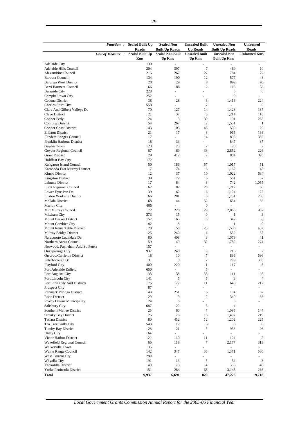|                                              | <b>Function:</b>  | <b>Sealed Built Up</b><br><b>Roads</b> | <b>Sealed Non</b><br><b>Built Up Roads</b> | <b>Unsealed Built</b><br><b>Up Roads</b> | <b>Unsealed Non</b><br><b>Built Up Roads</b> | <b>Unformed</b><br><b>Roads</b> |
|----------------------------------------------|-------------------|----------------------------------------|--------------------------------------------|------------------------------------------|----------------------------------------------|---------------------------------|
|                                              | Unit of Measure : | <b>Sealed Built Up</b><br>Kms          | <b>Sealed Non Built</b><br><b>Up Kms</b>   | <b>Unsealed Built</b><br><b>Up Kms</b>   | <b>Unsealed Non</b><br><b>Built Up Kms</b>   | <b>Unformed Kms</b>             |
| <b>Adelaide City</b>                         |                   | 130                                    |                                            |                                          |                                              |                                 |
| Adelaide Hills Council                       |                   | 204                                    | 397                                        | $\tau$                                   | 469                                          | 10                              |
| Alexandrina Council                          |                   | 215                                    | 267                                        | 27                                       | 784                                          | 22                              |
| <b>Barossa Council</b>                       |                   | 134                                    | 190                                        | 12                                       | 577                                          | 48                              |
| Barunga West District                        |                   | 28                                     | 29                                         | 8                                        | 892                                          | 95                              |
| Berri Barmera Council                        |                   | 66                                     | 188                                        | $\overline{c}$                           | 118                                          | 38                              |
| <b>Burnside City</b>                         |                   | 228                                    | $\mathcal{L}_{\mathcal{A}}$                |                                          | 5                                            | $\boldsymbol{0}$                |
| Campbelltown City                            |                   | 252                                    |                                            |                                          | $\mathbf{0}$                                 |                                 |
| Ceduna District                              |                   | 38                                     | 28                                         | 3                                        | 1,416                                        | 224                             |
| <b>Charles Sturt City</b>                    |                   | 558                                    | ÷.                                         | $\overline{7}$                           | $\omega$                                     | $\boldsymbol{0}$                |
| Clare And Gilbert Valleys Dc                 |                   | 70                                     | 127                                        | 14                                       | 1,423                                        | 187                             |
| Cleve District                               |                   | 21                                     | 37                                         | 8                                        | 1,214                                        | 116                             |
| Coober Pedy                                  |                   | 24                                     | 3                                          | 30                                       | 101                                          | 263                             |
| Coorong District                             |                   | 54                                     | 267                                        | 12                                       | 1,551                                        | -1                              |
| <b>Copper Coast District</b>                 |                   | 143                                    | 105                                        | 48                                       | 509                                          | 129                             |
| <b>Elliston District</b>                     |                   | 21                                     | 17                                         | 8                                        | 965                                          | 136                             |
| Flinders Ranges Council                      |                   | 17                                     | ÷.                                         | 14                                       | 895                                          | 336                             |
| Franklin Harbour District                    |                   | 18                                     | 33                                         |                                          | 847                                          | 37                              |
| Gawler Town                                  |                   | 123                                    | 25                                         | $\tau$                                   | 20                                           | 2                               |
| Goyder Regional Council                      |                   | 67                                     | 69                                         | 33                                       | 2,852                                        | 226                             |
| <b>Grant District</b>                        |                   | 29                                     | 412                                        | 2                                        | 834<br>$\omega$                              | 320<br>L.                       |
| <b>Holdfast Bay City</b>                     |                   | 172                                    | $\equiv$                                   | ÷,                                       |                                              |                                 |
| Kangaroo Island Council                      |                   | 50                                     | 186                                        | 57                                       | 1,017                                        | 51                              |
| Karoonda East Murray District                |                   | $7\phantom{.0}$<br>12                  | 74<br>37                                   | 6<br>10                                  | 1,162<br>1,022                               | 48                              |
| Kimba District                               |                   | 39                                     | 72                                         | 6                                        | 561                                          | 634<br>57                       |
| <b>Kingston District</b><br>Lehunte District |                   | 17                                     | 64                                         | 8                                        | 742                                          | 1,055                           |
| <b>Light Regional Council</b>                |                   | 62                                     | 82                                         | 28                                       | 1,212                                        | 60                              |
| Lower Eyre Pen Dc                            |                   | 39                                     | 62                                         | 16                                       | 1,124                                        | 125                             |
| <b>Loxton Waikerie District</b>              |                   | 66                                     | 281                                        | 16                                       | 1,751                                        | 200                             |
| Mallala District                             |                   | 68                                     | 44                                         | 52                                       | 654                                          | 136                             |
| <b>Marion City</b>                           |                   | 466                                    | ä,                                         | $\boldsymbol{0}$                         | $\overline{\phantom{a}}$                     |                                 |
| Mid Murray Council                           |                   | 72                                     | 228                                        | 29                                       | 2,065                                        | 982                             |
| Mitcham City                                 |                   | 373                                    | 15                                         | $\boldsymbol{0}$                         | $\mathbf{1}$                                 | 3                               |
| Mount Barker District                        |                   | 152                                    | 165                                        | 18                                       | 347                                          | 33                              |
| Mount Gambier City                           |                   | 182                                    | 8                                          | ÷,                                       | $\mathbf{1}$                                 | $\boldsymbol{0}$                |
| Mount Remarkable District                    |                   | 20                                     | 58                                         | 23                                       | 1,530                                        | 432                             |
| Murray Bridge District                       |                   | 126                                    | 240                                        | 14                                       | 552                                          | 35                              |
| Naracoorte Lucindale Dc                      |                   | 80                                     | 408                                        | 3                                        | 1,079                                        | 41                              |
| Northern Areas Council                       |                   | 59                                     | 49                                         | 32                                       | 1,782                                        | 274                             |
| Norwood, Payneham And St. Peters             |                   | 157                                    | ÷,                                         | $\overline{a}$                           | $\equiv$                                     |                                 |
| Onkaparinga City                             |                   | 937                                    | 248                                        | 9                                        | 216                                          | 2                               |
| Orroroo/Carrieton District                   |                   | 18                                     | 10                                         | $\tau$                                   | 896                                          | 696                             |
| Peterborough Dc                              |                   | 31                                     | 8                                          | $\tau$                                   | 799                                          | 385                             |
| Playford City                                |                   | 400                                    | 220                                        | $\mathbf{1}$                             | 117                                          | 8                               |
| Port Adelaide Enfield                        |                   | 650                                    | $\overline{\phantom{a}}$                   | 5                                        | $\overline{\phantom{a}}$                     | $\sim$                          |
| Port Augusta City                            |                   | 133                                    | 38                                         | 33                                       | 111                                          | 93                              |
| Port Lincoln City                            |                   | 141                                    | 5                                          | 5                                        | 3                                            | $\overline{4}$                  |
| Port Pirie City And Districts                |                   | 176                                    | 127                                        | 11                                       | 645                                          | 212                             |
| <b>Prospect City</b>                         |                   | 87                                     | $\blacksquare$                             |                                          | $\sim$                                       |                                 |
| Renmark Paringa District                     |                   | 48                                     | 251                                        | 6                                        | 134                                          | 52                              |
| Robe District                                |                   | 29                                     | 9                                          | 2                                        | 340                                          | 56                              |
| <b>Roxby Downs Municipality</b>              |                   | 24                                     | 6                                          |                                          | 3                                            |                                 |
| Salisbury City                               |                   | 687                                    | 22                                         | 3                                        | $\overline{4}$                               | ÷,                              |
| Southern Mallee District                     |                   | 25                                     | 60                                         | 7                                        | 1,095                                        | 144                             |
| <b>Streaky Bay District</b>                  |                   | 26                                     | 26                                         | 18                                       | 1,432                                        | 219                             |
| <b>Tatiara District</b>                      |                   | 80                                     | 412                                        | 12                                       | 1,202                                        | 225                             |
| Tea Tree Gully City                          |                   | 548                                    | 17                                         | 3                                        | 8                                            | 6                               |
| Tumby Bay District                           |                   | 28                                     | 21                                         | 5                                        | 958                                          | 96                              |
| <b>Unley City</b>                            |                   | 164                                    | ÷.                                         | $\qquad \qquad \blacksquare$             | $\blacksquare$                               |                                 |
| Victor Harbor District                       |                   | 122                                    | 110                                        | 11                                       | 124                                          | $\overline{2}$                  |
| Wakefield Regional Council                   |                   | 65                                     | 118                                        | $\boldsymbol{7}$                         | 2,177                                        | 313                             |
| Walkerville Town                             |                   | 35                                     | $\overline{\phantom{a}}$                   |                                          | $\omega$                                     | $\overline{\phantom{a}}$        |
| Wattle Range Council                         |                   | 142                                    | 347                                        | 36                                       | 1,371                                        | 560                             |
| West Torrens Cty                             |                   | 289                                    | $\omega$                                   | ÷,                                       | $\blacksquare$                               |                                 |
| Whyalla City                                 |                   | 191                                    | 13                                         | 5                                        | 54                                           | 3                               |
| Yankalilla District                          |                   | 49                                     | 73                                         | $\overline{4}$                           | 366                                          | 48                              |
| Yorke Peninsula District                     |                   | 151                                    | 284                                        | 68                                       | 3,145                                        | 236                             |
| Total                                        |                   | 9,937                                  | 6,691                                      | 820                                      | 47,273                                       | 9,718                           |

*Local Government Grants Commission Annual Report for the 2005-06 Financial Year*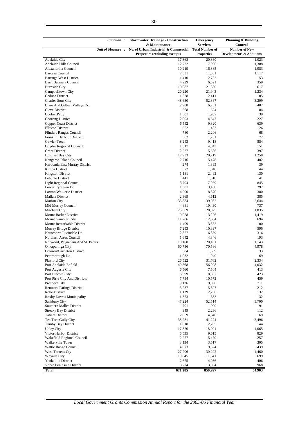|                                                            | <b>Function:</b>  | <b>Stormwater Drainage - Construction</b>              | <b>Emergency</b>                          | Planning & Building                    |
|------------------------------------------------------------|-------------------|--------------------------------------------------------|-------------------------------------------|----------------------------------------|
|                                                            | Unit of Measure : | & Maintenance<br>No. of Urban, Industrial & Commercial | <b>Services</b><br><b>Total Number of</b> | <b>Control</b><br><b>Number of New</b> |
|                                                            |                   | Properties (excluding exempt)                          | <b>Properties</b>                         | Developments & Additions               |
| <b>Adelaide City</b>                                       |                   | 17,368                                                 | 20,860                                    | 1,023                                  |
| Adelaide Hills Council                                     |                   | 12,722                                                 | 17,996                                    | 1,388                                  |
| Alexandrina Council                                        |                   | 10,219                                                 | 16,885                                    | 1,983                                  |
| Barossa Council                                            |                   | 7,531                                                  | 11,531                                    | 1,117                                  |
| Barunga West District<br>Berri Barmera Council             |                   | 1,410<br>4,229                                         | 2,733                                     | 153<br>359                             |
| <b>Burnside City</b>                                       |                   | 19,087                                                 | 6,521<br>21,330                           | 617                                    |
| Campbelltown City                                          |                   | 20,220                                                 | 21,943                                    | 1,234                                  |
| Ceduna District                                            |                   | 1,328                                                  | 2,411                                     | 105                                    |
| <b>Charles Sturt City</b>                                  |                   | 48,630                                                 | 52,867                                    | 3,299                                  |
| Clare And Gilbert Valleys Dc                               |                   | 2,988                                                  | 6,761                                     | 407                                    |
| Cleve District                                             |                   | 668                                                    | 1,624                                     | 84                                     |
| Coober Pedy                                                |                   | 1,501                                                  | 1,967                                     | 39                                     |
| Coorong District<br>Copper Coast District                  |                   | 2,003<br>6,542                                         | 4,647<br>9,820                            | 227<br>639                             |
| <b>Elliston District</b>                                   |                   | 552                                                    | 1,433                                     | 126                                    |
| <b>Flinders Ranges Council</b>                             |                   | 780                                                    | 2,206                                     | 68                                     |
| Franklin Harbour District                                  |                   | 562                                                    | 1,201                                     | 72                                     |
| Gawler Town                                                |                   | 8,243                                                  | 9,418                                     | 854                                    |
| Goyder Regional Council                                    |                   | 1,517                                                  | 4,843                                     | 151                                    |
| <b>Grant District</b>                                      |                   | 2,227                                                  | 5,606                                     | 397                                    |
| <b>Holdfast Bay City</b>                                   |                   | 17,933                                                 | 20,719                                    | 1,258<br>402                           |
| Kangaroo Island Council<br>Karoonda East Murray District   |                   | 2,716<br>274                                           | 5,478<br>1,395                            | 39                                     |
| Kimba District                                             |                   | 372                                                    | 1,040                                     | 44                                     |
| <b>Kingston District</b>                                   |                   | 1,181                                                  | 2,492                                     | 130                                    |
| Lehunte District                                           |                   | 441                                                    | 1,318                                     | 41                                     |
| Light Regional Council                                     |                   | 3,704                                                  | 7,059                                     | 845                                    |
| Lower Eyre Pen Dc                                          |                   | 1,581                                                  | 3,450                                     | 297                                    |
| <b>Loxton Waikerie District</b>                            |                   | 4,200                                                  | 8,370                                     | 380                                    |
| Mallala District                                           |                   | 2,369                                                  | 4,612                                     | 385                                    |
| <b>Marion City</b><br>Mid Murray Council                   |                   | 35,884<br>4,881                                        | 39,932<br>10,430                          | 2,644<br>737                           |
| Mitcham City                                               |                   | 25,869                                                 | 28,825                                    | 1,835                                  |
| <b>Mount Barker District</b>                               |                   | 9,058                                                  | 13,226                                    | 1,419                                  |
| Mount Gambier City                                         |                   | 11,206                                                 | 12,584                                    | 694                                    |
| Mount Remarkable District                                  |                   | 1,409                                                  | 3,362                                     | 100                                    |
| Murray Bridge District                                     |                   | 7,253                                                  | 10,397                                    | 596                                    |
| Naracoorte Lucindale Dc                                    |                   | 2,857                                                  | 6,359                                     | 316                                    |
| Northern Areas Council<br>Norwood, Payneham And St. Peters |                   | 1,642<br>18,168                                        | 4,346                                     | 193<br>1,143                           |
| Onkaparinga City                                           |                   | 60,736                                                 | 20,101<br>70,586                          | 4,978                                  |
| Orroroo/Carrieton District                                 |                   | 384                                                    | 1,609                                     | 33                                     |
| Peterborough Dc                                            |                   | 1,032                                                  | 1,940                                     | 69                                     |
| <b>Playford City</b>                                       |                   | 26,522                                                 | 31,762                                    | 2,334                                  |
| Port Adelaide Enfield                                      |                   | 49,868                                                 | 56,928                                    | 4,032                                  |
| Port Augusta City                                          |                   | 6,560                                                  | 7,504                                     | 413                                    |
| Port Lincoln City<br>Port Pirie City And Districts         |                   | 6,599                                                  | 8,087                                     | 423<br>459                             |
| Prospect City                                              |                   | 7,734<br>9,126                                         | 10,572<br>9,898                           | 711                                    |
| Renmark Paringa District                                   |                   | 3,237                                                  | 5,397                                     | 212                                    |
| Robe District                                              |                   | 1,139                                                  | 2,236                                     | 132                                    |
| Roxby Downs Municipality                                   |                   | 1,353                                                  | 1,533                                     | 132                                    |
| Salisbury City                                             |                   | 47,224                                                 | 52,514                                    | 3,700                                  |
| Southern Mallee District                                   |                   | 701                                                    | 1,990                                     | 91                                     |
| <b>Streaky Bay District</b>                                |                   | 949                                                    | 2,236                                     | 112                                    |
| <b>Tatiara District</b><br>Tea Tree Gully City             |                   | 2,059<br>38,281                                        | 4,846<br>41,224                           | 169<br>2,496                           |
| <b>Tumby Bay District</b>                                  |                   | 1,018                                                  | 2,205                                     | 144                                    |
| <b>Unley City</b>                                          |                   | 17,370                                                 | 18,991                                    | 1,065                                  |
| Victor Harbor District                                     |                   | 6,535                                                  | 9,615                                     | 829                                    |
| Wakefield Regional Council                                 |                   | 2,277                                                  | 5,470                                     | 257                                    |
| Walkerville Town                                           |                   | 3,134                                                  | 3,517                                     | 305                                    |
| Wattle Range Council                                       |                   | 4,673                                                  | 9,524                                     | 439                                    |
| West Torrens Cty                                           |                   | 27,206                                                 | 30,292                                    | 1,460<br>699                           |
| Whyalla City<br>Yankalilla District                        |                   | 10,845<br>2,675                                        | 11,541<br>4,986                           | 406                                    |
| Yorke Peninsula District                                   |                   | 8,724                                                  | 13,894                                    | 968                                    |
| <b>Total</b>                                               |                   | 671,285                                                | 850,997                                   | 54,903                                 |
|                                                            |                   |                                                        |                                           |                                        |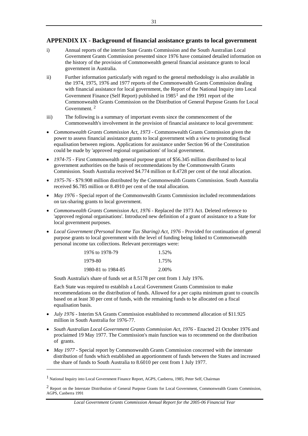## <span id="page-33-0"></span>**APPENDIX IX - Background of financial assistance grants to local government**

- i) Annual reports of the interim State Grants Commission and the South Australian Local Government Grants Commission presented since 1976 have contained detailed information on the history of the provision of Commonwealth general financial assistance grants to local government in Australia.
- ii) Further information particularly with regard to the general methodology is also available in the 1974, 1975, 1976 and 1977 reports of the Commonwealth Grants Commission dealing with financial assistance for local government, the Report of the National Inquiry into Local Government Finance (Self Report) published in  $1985<sup>1</sup>$  $1985<sup>1</sup>$  and the 1991 report of the Commonwealth Grants Commission on the Distribution of General Purpose Grants for Local Government. [2](#page-33-0)
- iii) The following is a summary of important events since the commencement of the Commonwealth's involvement in the provision of financial assistance to local government:
- *Commonwealth Grants Commission Act, 1973 -* Commonwealth Grants Commission given the power to assess financial assistance grants to local government with a view to promoting fiscal equalisation between regions. Applications for assistance under Section 96 of the Constitution could be made by 'approved regional organisations' of local government.
- *1974-75* First Commonwealth general purpose grant of \$56.345 million distributed to local government authorities on the basis of recommendations by the Commonwealth Grants Commission. South Australia received \$4.774 million or 8.4728 per cent of the total allocation.
- *1975-76*  \$79.908 million distributed by the Commonwealth Grants Commission. South Australia received \$6.785 million or 8.4910 per cent of the total allocation.
- *May 1976* Special report of the Commonwealth Grants Commission included recommendations on tax-sharing grants to local government.
- *Commonwealth Grants Commission Act, 1976* Replaced the 1973 Act. Deleted reference to 'approved regional organisations'. Introduced new definition of a grant of assistance to a State for local government purposes.
- *Local Government (Personal Income Tax Sharing) Act, 1976 Provided for continuation of general* purpose grants to local government with the level of funding being linked to Commonwealth personal income tax collections. Relevant percentages were:

| 1976 to 1978-79    | 1.52% |
|--------------------|-------|
| 1979-80            | 1.75% |
| 1980-81 to 1984-85 | 2.00% |

South Australia's share of funds set at 8.5178 per cent from 1 July 1976.

Each State was required to establish a Local Government Grants Commission to make recommendations on the distribution of funds. Allowed for a per capita minimum grant to councils based on at least 30 per cent of funds, with the remaining funds to be allocated on a fiscal equalisation basis.

- *July 1976* Interim SA Grants Commission established to recommend allocation of \$11.925 million in South Australia for 1976-77.
- *South Australian Local Government Grants Commission Act, 1976 Enacted 21 October 1976 and* proclaimed 19 May 1977. The Commission's main function was to recommend on the distribution of grants.
- *May 1977* Special report by Commonwealth Grants Commission concerned with the interstate distribution of funds which established an apportionment of funds between the States and increased the share of funds to South Australia to 8.6010 per cent from 1 July 1977.

-

<sup>1</sup> National Inquiry into Local Government Finance Report, AGPS, Canberra, 1985; Peter Self, Chairman

<sup>2</sup> Report on the Interstate Distribution of General Purpose Grants for Local Government, Commonwealth Grants Commission, AGPS, Canberra 1991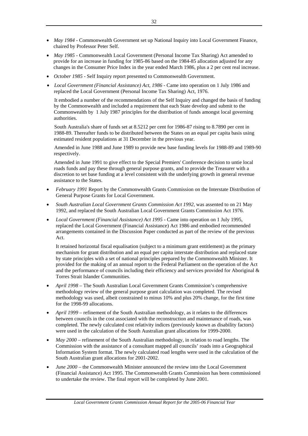- *May 1984* Commonwealth Government set up National Inquiry into Local Government Finance, chaired by Professor Peter Self.
- *May 1985 -* Commonwealth Local Government (Personal Income Tax Sharing) Act amended to provide for an increase in funding for 1985-86 based on the 1984-85 allocation adjusted for any changes in the Consumer Price Index in the year ended March 1986, plus a 2 per cent real increase.
- *October 1985* Self Inquiry report presented to Commonwealth Government.
- *Local Government (Financial Assistance) Act, 1986* Came into operation on 1 July 1986 and replaced the Local Government (Personal Income Tax Sharing) Act, 1976.

It embodied a number of the recommendations of the Self Inquiry and changed the basis of funding by the Commonwealth and included a requirement that each State develop and submit to the Commonwealth by 1 July 1987 principles for the distribution of funds amongst local governing authorities.

South Australia's share of funds set at 8.5212 per cent for 1986-87 rising to 8.7890 per cent in 1988-89. Thereafter funds to be distributed between the States on an equal per capita basis using estimated resident populations at 31 December in the previous year.

Amended in June 1988 and June 1989 to provide new base funding levels for 1988-89 and 1989-90 respectively.

Amended in June 1991 to give effect to the Special Premiers' Conference decision to untie local roads funds and pay these through general purpose grants, and to provide the Treasurer with a discretion to set base funding at a level consistent with the underlying growth in general revenue assistance to the States.

- *February 1991* Report by the Commonwealth Grants Commission on the Interstate Distribution of General Purpose Grants for Local Government.
- *South Australian Local Government Grants Commission Act 1992,* was assented to on 21 May 1992, and replaced the South Australian Local Government Grants Commission Act 1976.
- *Local Government (Financial Assistance) Act 1995* Came into operation on 1 July 1995, replaced the Local Government (Financial Assistance) Act 1986 and embodied recommended arrangements contained in the Discussion Paper conducted as part of the review of the previous Act.

It retained horizontal fiscal equalisation (subject to a minimum grant entitlement) as the primary mechanism for grant distribution and an equal per capita interstate distribution and replaced state by state principles with a set of national principles prepared by the Commonwealth Minister. It provided for the making of an annual report to the Federal Parliament on the operation of the Act and the performance of councils including their efficiency and services provided for Aboriginal & Torres Strait Islander Communities.

- *April 1998* The South Australian Local Government Grants Commission's comprehensive methodology review of the general purpose grant calculation was completed. The revised methodology was used, albeit constrained to minus 10% and plus 20% change, for the first time for the 1998-99 allocations.
- *April 1999*  refinement of the South Australian methodology, as it relates to the differences between councils in the cost associated with the reconstruction and maintenance of roads, was completed. The newly calculated cost relativity indices (previously known as disability factors) were used in the calculation of the South Australian grant allocations for 1999-2000.
- *May 2000*  refinement of the South Australian methodology, in relation to road lengths. The Commission with the assistance of a consultant mapped all councils' roads into a Geographical Information System format. The newly calculated road lengths were used in the calculation of the South Australian grant allocations for 2001-2002.
- *June 2000*  the Commonwealth Minister announced the review into the Local Government (Financial Assistance) Act 1995. The Commonwealth Grants Commission has been commissioned to undertake the review. The final report will be completed by June 2001.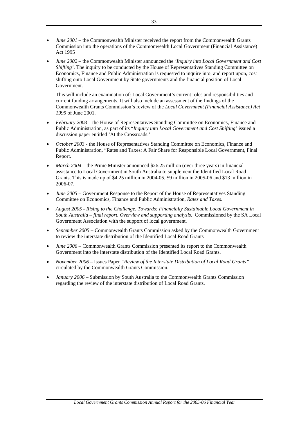- *June 2001* the Commonwealth Minister received the report from the Commonwealth Grants Commission into the operations of the Commonwealth Local Government (Financial Assistance) Act 1995
- *June 2002*  the Commonwealth Minister announced the *'Inquiry into Local Government and Cost Shifting'*. The inquiry to be conducted by the House of Representatives Standing Committee on Economics, Finance and Public Administration is requested to inquire into, and report upon, cost shifting onto Local Government by State governments and the financial position of Local Government.

This will include an examination of: Local Government's current roles and responsibilities and current funding arrangements. It will also include an assessment of the findings of the Commonwealth Grants Commission's review of the *Local Government (Financial Assistance) Act 1995* of June 2001.

- *February 2003*  the House of Representatives Standing Committee on Economics, Finance and Public Administration, as part of its "*Inquiry into Local Government and Cost Shifting'* issued a discussion paper entitled 'At the Crossroads.'
- *October 2003* the House of Representatives Standing Committee on Economics, Finance and Public Administration, "Rates and Taxes: A Fair Share for Responsible Local Government, Final Report.
- *March 2004* the Prime Minister announced \$26.25 million (over three years) in financial assistance to Local Government in South Australia to supplement the Identified Local Road Grants. This is made up of \$4.25 million in 2004-05, \$9 million in 2005-06 and \$13 million in 2006-07.
- *June 2005 –* Government Response to the Report of the House of Representatives Standing Committee on Economics, Finance and Public Administration, *Rates and Taxes.*
- *August 2005 Rising to the Challenge, Towards: Financially Sustainable Local Government in South Australia – final report. Overview and supporting analysis.* Commissioned by the SA Local Government Association with the support of local government.
- *September 2005* Commonwealth Grants Commission asked by the Commonwealth Government to review the interstate distribution of the Identified Local Road Grants
- *June 2006* Commonwealth Grants Commission presented its report to the Commonwealth Government into the interstate distribution of the Identified Local Road Grants.
- *November 2006* Issues Paper *"Review of the Interstate Distribution of Local Road Grants"*  circulated by the Commonwealth Grants Commission.
- *January 2006* Submission by South Australia to the Commonwealth Grants Commission regarding the review of the interstate distribution of Local Road Grants.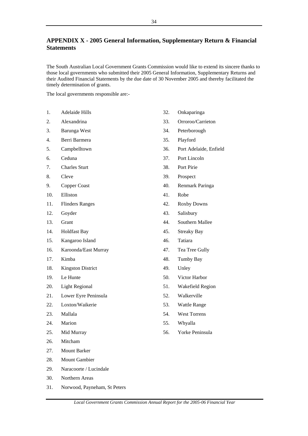## <span id="page-36-0"></span>**APPENDIX X - 2005 General Information, Supplementary Return & Financial Statements**

The South Australian Local Government Grants Commission would like to extend its sincere thanks to those local governments who submitted their 2005 General Information, Supplementary Returns and their Audited Financial Statements by the due date of 30 November 2005 and thereby facilitated the timely determination of grants.

The local governments responsible are:-

- 1. Adelaide Hills
- 2. Alexandrina
- 3. Barunga West
- 4. Berri Barmera
- 5. Campbelltown
- 6. Ceduna
- 7. Charles Sturt
- 8. Cleve
- 9. Copper Coast
- 10. Elliston
- 11. Flinders Ranges
- 12. Goyder
- 13. Grant
- 14. Holdfast Bay
- 15. Kangaroo Island
- 16. Karoonda/East Murray
- 17. Kimba
- 18. Kingston District
- 19. Le Hunte
- 20. Light Regional
- 21. Lower Eyre Peninsula
- 22. Loxton/Waikerie
- 23. Mallala
- 24. Marion
- 25. Mid Murray
- 26. Mitcham
- 27. Mount Barker
- 28. Mount Gambier
- 29. Naracoorte / Lucindale
- 30. Northern Areas
- 31. Norwood, Payneham, St Peters
- 32. Onkaparinga
- 33. Orroroo/Carrieton
- 34. Peterborough
- 35. Playford
- 36. Port Adelaide, Enfield
- 37. Port Lincoln
- 38. Port Pirie
- 39. Prospect
- 40. Renmark Paringa
- 41. Robe
- 42. Roxby Downs
- 43. Salisbury
- 44. Southern Mallee
- 45. Streaky Bay
- 46. Tatiara
- 47. Tea Tree Gully
- 48. Tumby Bay
- 49. Unley
- 50. Victor Harbor
- 51. Wakefield Region
- 52. Walkerville
- 53. Wattle Range
- 54. West Torrens
- 55. Whyalla
- 56. Yorke Peninsula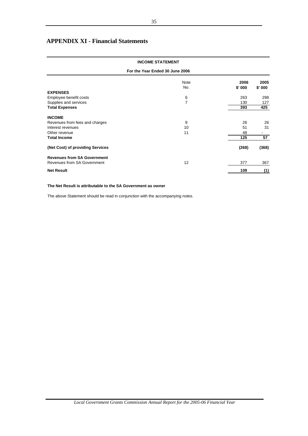## <span id="page-37-0"></span>**APPENDIX XI - Financial Statements**

## Note **2006** 2005<br>No. **5' 000 \$' 000** No. **\$' 000 \$' 000 EXPENSES**  Employee benefit costs and the costs of the costs of the costs of the costs of the costs of the costs of the costs of the costs of the costs of the costs of the costs of the costs of the costs of the costs of the costs of Supplies and services and services and services and services and services and services and services and services and services and services and services and services and services and services and services and services and s **Total Expenses 425 393** 425 **INCOME** Revenues from fees and charges and charges and charges and charges and charges and charges and charges and charges and charges and charges and charges and charges and charges and charges and charges and charges and charges Interest revenues and the contract of the contract of the contract of the contract of the contract of the contract of the contract of the contract of the contract of the contract of the contract of the contract of the cont Other revenue **Total Income 125 57 (Net Cost) of providing Services (368) (268) Revenues from SA Government** Revenues from SA Government 12 367 367 367 **Net Result 109 (1) INCOME STATEMENT For the Year Ended 30 June 2006**

### **The Net Result is attributable to the SA Government as owner**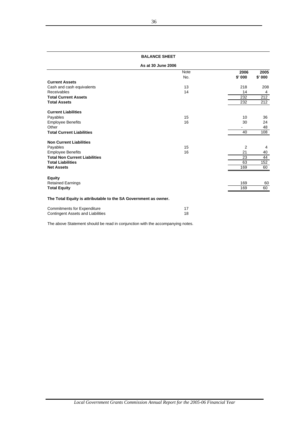| <b>BALANCE SHEET</b> |
|----------------------|
|                      |

### **As at 30 June 2006**

|                                                                 | <b>Note</b>   | 2006   | 2005    |
|-----------------------------------------------------------------|---------------|--------|---------|
|                                                                 | No.           | \$'000 | \$' 000 |
| <b>Current Assets</b>                                           |               |        |         |
| Cash and cash equivalents                                       | 13            | 218    | 208     |
| Receivables                                                     | 14            | 14     | 4       |
| <b>Total Current Assets</b>                                     |               | 232    | 212     |
| <b>Total Assets</b>                                             |               | 232    | 212     |
| <b>Current Liabilities</b>                                      |               |        |         |
| Payables                                                        | 15            | 10     | 36      |
| <b>Employee Benefits</b>                                        | 16            | 30     | 24      |
| Other                                                           |               |        | 48      |
| <b>Total Current Liabilities</b>                                |               | 40     | 108     |
| <b>Non Current Liabilities</b>                                  |               |        |         |
| Payables                                                        | 15            | 2      | 4       |
| <b>Employee Benefits</b>                                        | 16            | 21     | 40      |
| <b>Total Non Current Liabilities</b>                            |               | 23     | 44      |
| <b>Total Liabilities</b>                                        |               | 63     | 152     |
| <b>Net Assets</b>                                               |               | 169    | 60      |
| <b>Equity</b>                                                   |               |        |         |
| <b>Retained Earnings</b>                                        |               | 169    | 60      |
| <b>Total Equity</b>                                             |               | 169    | 60      |
| The Total Equity is attributable to the SA Government as owner. |               |        |         |
| O successfrom a set of fine From a solutional                   | $\rightarrow$ |        |         |

| <b>Commitments for Expenditure</b> |  |
|------------------------------------|--|
| Contingent Assets and Liabilities  |  |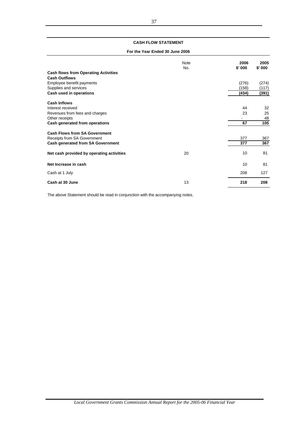### **CASH FLOW STATEMENT**

### **For the Year Ended 30 June 2006**

|                                             | <b>Note</b><br>No. | 2006<br>\$'000 | 2005<br>\$' 000 |
|---------------------------------------------|--------------------|----------------|-----------------|
| <b>Cash flows from Operating Activities</b> |                    |                |                 |
| <b>Cash Outflows</b>                        |                    |                |                 |
| Employee benefit payments                   |                    | (276)          | (274)           |
| Supplies and services                       |                    | (158)          | (117)           |
| Cash used in operations                     |                    | (434)          | (391)           |
| <b>Cash Inflows</b>                         |                    |                |                 |
| Interest received                           |                    | 44             | 32              |
| Revenues from fees and charges              |                    | 23             | 25              |
| Other receipts                              |                    |                | 48              |
| Cash generated from operations              |                    | 67             | 105             |
| <b>Cash Flows from SA Government</b>        |                    |                |                 |
| Receipts from SA Government                 |                    | 377            | 367             |
| Cash generated from SA Government           |                    | 377            | 367             |
| Net cash provided by operating activities   | 20                 | 10             | 81              |
| Net Increase in cash                        |                    | 10             | 81              |
| Cash at 1 July                              |                    | 208            | 127             |
| Cash at 30 June                             | 13                 | 218            | 208             |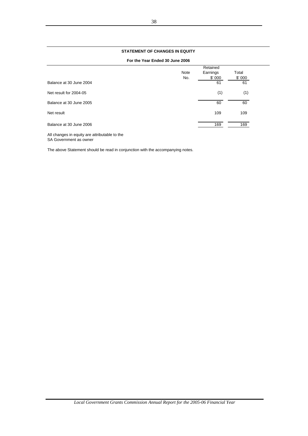### **STATEMENT OF CHANGES IN EQUITY**

**For the Year Ended 30 June 2006**

|                         |      | Retained |        |  |
|-------------------------|------|----------|--------|--|
|                         | Note | Earnings | Total  |  |
|                         | No.  | \$'000   | \$'000 |  |
| Balance at 30 June 2004 |      | 61       | 61     |  |
| Net result for 2004-05  |      | (1)      | (1)    |  |
| Balance at 30 June 2005 |      | 60       | 60     |  |
| Net result              |      | 109      | 109    |  |
| Balance at 30 June 2006 |      | 169      | 169    |  |

All changes in equity are attributable to the SA Government as owner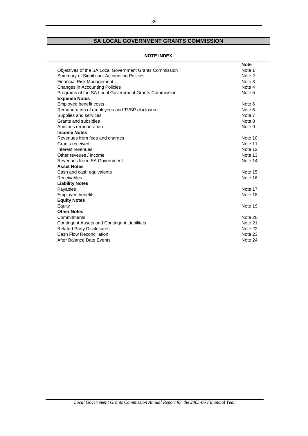## **SA LOCAL GOVERNMENT GRANTS COMMISSION**

## **NOTE INDEX**

|                                                         | <b>Note</b> |
|---------------------------------------------------------|-------------|
| Objectives of the SA Local Government Grants Commission | Note 1      |
| Summary of Significant Accounting Policies              | Note 2      |
| <b>Financial Risk Management</b>                        | Note 3      |
| Changes in Accounting Policies                          | Note 4      |
| Programs of the SA Local Government Grants Commission   | Note 5      |
| <b>Expense Notes</b>                                    |             |
| Employee benefit costs                                  | Note 6      |
| Remuneration of employees and TVSP disclosure           | Note 6      |
| Supplies and services                                   | Note 7      |
| Grants and subsidies                                    | Note 8      |
| Auditor's remuneration                                  | Note 9      |
| <b>Income Notes</b>                                     |             |
| Revenues from fees and charges                          | Note 10     |
| Grants received                                         | Note 11     |
| Interest revenues                                       | Note 12     |
| Other reveues / income                                  | Note 13     |
| Revenues from SA Government                             | Note 14     |
| <b>Asset Notes</b>                                      |             |
| Cash and cash equivalents                               | Note 15     |
| <b>Receivables</b>                                      | Note 16     |
| <b>Liability Notes</b>                                  |             |
| Payables                                                | Note 17     |
| <b>Employee benefits</b>                                | Note 18     |
| <b>Equity Notes</b>                                     |             |
| Equity                                                  | Note 19     |
| <b>Other Notes</b>                                      |             |
| Commitments                                             | Note 20     |
| <b>Contingent Assets and Contingent Liabilities</b>     | Note 21     |
| <b>Related Party Disclosures</b>                        | Note 22     |
| Cash Flow Reconciliation                                | Note 23     |
| After Balance Date Events                               | Note 24     |
|                                                         |             |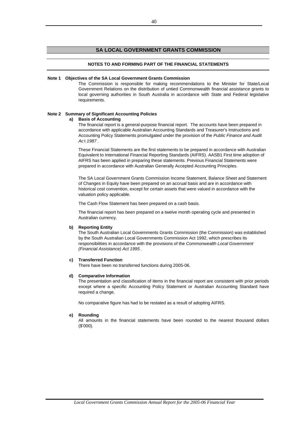## **SA LOCAL GOVERNMENT GRANTS COMMISSION**

### **NOTES TO AND FORMING PART OF THE FINANCIAL STATEMENTS**

#### **Note 1 Objectives of the SA Local Government Grants Commission**

The Commission is responsible for making recommendations to the Minister for State/Local Government Relations on the distribution of untied Commonwealth financial assistance grants to local governing authorities in South Australia in accordance with State and Federal legislative requirements.

### **Note 2 Summary of Significant Accounting Policies**

### **a) Basis of Accounting**

The financial report is a general-purpose financial report. The accounts have been prepared in accordance with applicable Australian Accounting Standards and Treasurer's Instructions and Accounting Policy Statements promulgated under the provision of the *Public Finance and Audit Ac* t *1987* .

These Financial Statements are the first statements to be prepared in accordance with Australian Equivalent to International Financial Reporting Standards (AIFRS). AASB1 First time adoption of AIFRS has been applied in preparing these statements. Previous Financial Statements were prepared in accordance with Australian Generally Accepted Accounting Principles.

The SA Local Government Grants Commission Income Statement, Balance Sheet and Statement of Changes in Equity have been prepared on an accrual basis and are in accordance with historical cost convention, except for certain assets that were valued in accordance with the valuation policy applicable.

The Cash Flow Statement has been prepared on a cash basis.

The financial report has been prepared on a twelve month operating cycle and presented in Australian currency.

### **b) Reporting Entity**

The South Australian Local Governments Grants Commission (the Commission) was established by the South Australian Local Governments Commission Act 1992, which prescribes its responsibilities in accordance with the provisions of the *Commonwealth Local Government (Financial Assistance) Act 1995* .

### **c) Transferred Function**

There have been no transferred functions during 2005-06.

#### **d) Comparative Information**

The presentation and classification of items in the financial report are consistent with prior periods except where a specific Accounting Policy Statement or Australian Accounting Standard have required a change.

No comparative figure has had to be restated as a result of adopting AIFRS.

#### **e) Rounding**

All amounts in the financial statements have been rounded to the nearest thousand dollars (\$'000).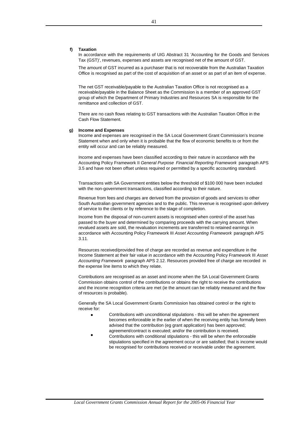### **f) Taxation**

In accordance with the requirements of UIG Abstract 31 'Accounting for the Goods and Services Tax (GST)', revenues, expenses and assets are recognised net of the amount of GST.

The amount of GST incurred as a purchaser that is not recoverable from the Australian Taxation Office is recognised as part of the cost of acquisition of an asset or as part of an item of expense.

The net GST receivable/payable to the Australian Taxation Office is not recognised as a receivable/payable in the Balance Sheet as the Commission is a member of an approved GST group of which the Department of Primary Industries and Resources SA is responsible for the remittance and collection of GST.

There are no cash flows relating to GST transactions with the Australian Taxation Office in the Cash Flow Statement.

#### **g) Income and Expenses**

Income and expenses are recognised in the SA Local Government Grant Commission's Income Statement when and only when it is probable that the flow of economic benefits to or from the entity will occur and can be reliably measured.

Income and expenses have been classified according to their nature in accordance with the Accounting Policy Framework II *General Purpose Financial Reporting Framework* paragraph APS 3.5 and have not been offset unless required or permitted by a specific accounting standard.

Transactions with SA Government entities below the threshold of \$100 000 have been included with the non-government transactions, classified according to their nature.

Revenue from fees and charges are derived from the provision of goods and services to other South Australian government agencies and to the public. This revenue is recognised upon delivery of service to the clients or by reference to the stage of completion.

Income from the disposal of non-current assets is recognised when control of the asset has passed to the buyer and determined by comparing proceeds with the carrying amount. When revalued assets are sold, the revaluation increments are transferred to retained earnings in accordance with Accounting Policy Framework III *Asset Accounting Framework* paragraph APS 3.11.

Resources received/provided free of charge are recorded as revenue and expenditure in the Income Statement at their fair value in accordance with the Accounting Policy Framework III *Asset Accounting Framework* paragraph APS 2.12. Resources provided free of charge are recorded in the expense line items to which they relate.

Contributions are recognised as an asset and income when the SA Local Government Grants Commission obtains control of the contributions or obtains the right to receive the contributions and the income recognition criteria are met (ie the amount can be reliably measured and the flow of resources is probable).

Generally the SA Local Government Grants Commission has obtained control or the right to receive for:

- $\bullet$ Contributions with unconditional stipulations - this will be when the agreement becomes enforceable ie the earlier of when the receiving entity has formally been advised that the contribution (eg grant application) has been approved; agreement/contract is executed; and/or the contribution is received.
- $\bullet$ Contributions with conditional stipulations - this will be when the enforceable stipulations specified in the agreement occur or are satisfied; that is income would be recognised for contributions received or receivable under the agreement.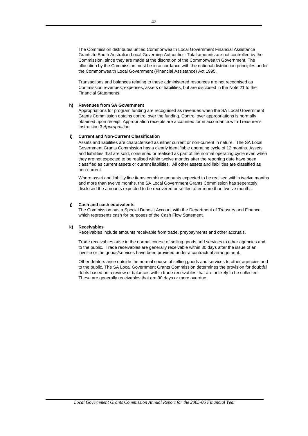The Commission distributes untied Commonwealth Local Government Financial Assistance Grants to South Australian Local Governing Authorities. Total amounts are not controlled by the Commission, since they are made at the discretion of the Commonwealth Government. The allocation by the Commission must be in accordance with the national distribution principles under the Commonwealth Local Government (Financial Assistance) Act 1995.

Transactions and balances relating to these administered resources are not recognised as Commission revenues, expenses, assets or liabilities, but are disclosed in the Note 21 to the Financial Statements.

### **h) Revenues from SA Government**

Appropriations for program funding are recognised as revenues when the SA Local Government Grants Commission obtains control over the funding. Control over appropriations is normally obtained upon receipt. Appropriation receipts are accounted for in accordance with Treasurer's Instruction 3 *Appropriation.*

### **i) Current and Non-Current Classification**

Assets and liabilities are characterised as either current or non-current in nature. The SA Local Government Grants Commission has a clearly identifiable operating cycle of 12 months. Assets and liabilities that are sold, consumed or realised as part of the normal operating cycle even when they are not expected to be realised within twelve months after the reporting date have been classified as current assets or current liabilities. All other assets and liabilities are classified as non-current.

Where asset and liability line items combine amounts expected to be realised within twelve months and more than twelve months, the SA Local Government Grants Commission has seperately disclosed the amounts expected to be recovered or settled after more than twelve months.

### **j) Cash and cash equivalents**

The Commission has a Special Deposit Account with the Department of Treasury and Finance which represents cash for purposes of the Cash Flow Statement.

#### **k) Receivables**

Receivables include amounts receivable from trade, preypayments and other accruals.

Trade receivables arise in the normal course of selling goods and services to other agencies and to the public. Trade receivables are generally receivable within 30 days after the issue of an invoice or the goods/services have been provided under a contractual arrangement.

Other debtors arise outside the normal course of selling goods and services to other agencies and to the public. The SA Local Government Grants Commission determines the provision for doubtful debts based on a review of balances within trade receivables that are unlikely to be collected. These are generally receivables that are 90 days or more overdue.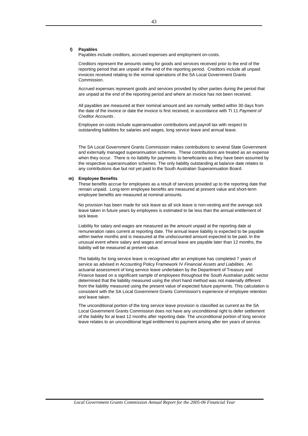### **l) Payables**

Payables include creditors, accrued expenses and employment on-costs.

Creditors represent the amounts owing for goods and services received prior to the end of the reporting period that are unpaid at the end of the reporting period. Creditors include all unpaid invoices received relating to the normal operations of the SA Local Government Grants Commission.

Accrued expenses represent goods and services provided by other parties during the period that are unpaid at the end of the reporting period and where an invoice has not been received.

All payables are measured at their nominal amount and are normally settled within 30 days from the date of the invoice or date the invoice is first received, in accordance with TI 11 *Payment of Creditor Accounts* .

Employee on-costs include superannuation contributions and payroll tax with respect to outstanding liabilities for salaries and wages, long service leave and annual leave.

The SA Local Government Grants Commission makes contributions to several State Government and externally managed superannuation schemes. These contributions are treated as an expense when they occur. There is no liability for payments to beneficiaries as they have been assumed by the respective superannuation schemes. The only liability outstanding at balance date relates to any contributions due but not yet paid to the South Australian Superannuation Board.

### **m) Employee Benefits**

These benefits accrue for employees as a result of services provided up to the reporting date that remain unpaid. Long-term employee benefits are measured at present value and short-term employee benefits are measured at nominal amounts.

No provision has been made for sick leave as all sick leave is non-vesting and the average sick leave taken in future years by employees is estimated to be less than the annual entitlement of sick leave.

Liability for salary and wages are measured as the amount unpaid at the reporting date at remuneration rates current at reporting date. The annual leave liability is expected to be payable within twelve months and is measured at the undiscounted amount expected to be paid. In the unusual event where salary and wages and annual leave are payable later than 12 months, the liability will be measured at present value.

The liability for long service leave is recognised after an employee has completed 7 years of service as advised in Accounting Policy Framework IV *Financial Assets and Liabilities* . An actuarial assessment of long service leave undertaken by the Department of Treasury and Finance based on a significant sample of employees throughout the South Australian public sector determined that the liability measured using the short hand method was not materially different from the liability measured using the present value of expected future payments. This calculation is consistent with the SA Local Government Grants Commission's experience of employee retention and leave taken.

The unconditional portion of the long service leave provision is classified as current as the SA Local Government Grants Commission does not have any unconditional right to defer settlement of the liability for at least 12 months after reporting date. The unconditional portion of long service leave relates to an unconditional legal entitlement to payment arising after ten years of service.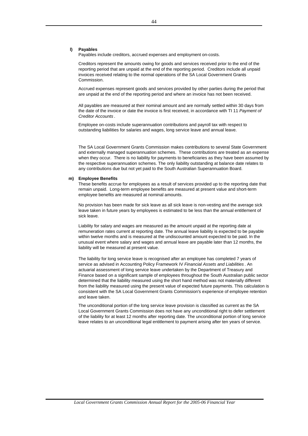### **l) Payables**

Payables include creditors, accrued expenses and employment on-costs.

Creditors represent the amounts owing for goods and services received prior to the end of the reporting period that are unpaid at the end of the reporting period. Creditors include all unpaid invoices received relating to the normal operations of the SA Local Government Grants Commission.

Accrued expenses represent goods and services provided by other parties during the period that are unpaid at the end of the reporting period and where an invoice has not been received.

All payables are measured at their nominal amount and are normally settled within 30 days from the date of the invoice or date the invoice is first received, in accordance with TI 11 *Payment of Creditor Accounts* .

Employee on-costs include superannuation contributions and payroll tax with respect to outstanding liabilities for salaries and wages, long service leave and annual leave.

The SA Local Government Grants Commission makes contributions to several State Government and externally managed superannuation schemes. These contributions are treated as an expense when they occur. There is no liability for payments to beneficiaries as they have been assumed by the respective superannuation schemes. The only liability outstanding at balance date relates to any contributions due but not yet paid to the South Australian Superannuation Board.

### **m) Employee Benefits**

These benefits accrue for employees as a result of services provided up to the reporting date that remain unpaid. Long-term employee benefits are measured at present value and short-term employee benefits are measured at nominal amounts.

No provision has been made for sick leave as all sick leave is non-vesting and the average sick leave taken in future years by employees is estimated to be less than the annual entitlement of sick leave.

Liability for salary and wages are measured as the amount unpaid at the reporting date at remuneration rates current at reporting date. The annual leave liability is expected to be payable within twelve months and is measured at the undiscounted amount expected to be paid. In the unusual event where salary and wages and annual leave are payable later than 12 months, the liability will be measured at present value.

The liability for long service leave is recognised after an employee has completed 7 years of service as advised in Accounting Policy Framework IV *Financial Assets and Liabilities* . An actuarial assessment of long service leave undertaken by the Department of Treasury and Finance based on a significant sample of employees throughout the South Australian public sector determined that the liability measured using the short hand method was not materially different from the liability measured using the present value of expected future payments. This calculation is consistent with the SA Local Government Grants Commission's experience of employee retention and leave taken.

The unconditional portion of the long service leave provision is classified as current as the SA Local Government Grants Commission does not have any unconditional right to defer settlement of the liability for at least 12 months after reporting date. The unconditional portion of long service leave relates to an unconditional legal entitlement to payment arising after ten years of service.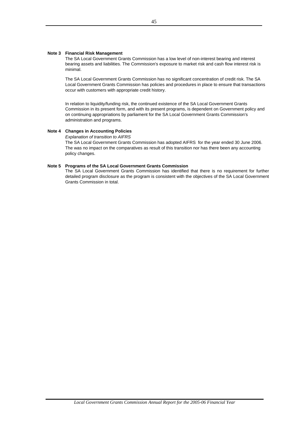### **Note 3 Financial Risk Management**

The SA Local Government Grants Commission has a low level of non-interest bearing and interest bearing assets and liabilities. The Commission's exposure to market risk and cash flow interest risk is minimal.

The SA Local Government Grants Commission has no significant concentration of credit risk. The SA Local Government Grants Commission has policies and procedures in place to ensure that transactions occur with customers with appropriate credit history.

In relation to liquidity/funding risk, the continued existence of the SA Local Government Grants Commission in its present form, and with its present programs, is dependent on Government policy and on continuing appropriations by parliament for the SA Local Government Grants Commission's administration and programs.

### **Note 4 Changes in Accounting Policies**

*Explanation of transition to AIFRS*

The SA Local Government Grants Commission has adopted AIFRS for the year ended 30 June 2006. The was no impact on the comparatives as result of this transition nor has there been any accounting policy changes.

### **Note 5 Programs of the SA Local Government Grants Commission**

The SA Local Government Grants Commission has identified that there is no requirement for further detailed program disclosure as the program is consistent with the objectives of the SA Local Government Grants Commission in total.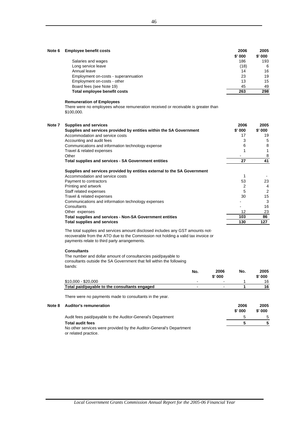| Note 6 | <b>Employee benefit costs</b>                                                                                                                                                                                       | 2006<br>\$'000 | 2005<br>\$' 000 |
|--------|---------------------------------------------------------------------------------------------------------------------------------------------------------------------------------------------------------------------|----------------|-----------------|
|        | Salaries and wages                                                                                                                                                                                                  | 186            | 193             |
|        | Long service leave                                                                                                                                                                                                  | (18)           | 6               |
|        | Annual leave                                                                                                                                                                                                        | 14             | 16              |
|        | Employment on-costs - superannuation                                                                                                                                                                                | 23             | 19              |
|        | Employment on-costs - other                                                                                                                                                                                         | 13             | 15              |
|        | Board fees (see Note 19)                                                                                                                                                                                            | 45             | 49              |
|        | Total employee benefit costs                                                                                                                                                                                        | 263            | 298             |
|        | <b>Remuneration of Employees</b>                                                                                                                                                                                    |                |                 |
|        | There were no employees whose remuneration received or receivable is greater than<br>\$100,000.                                                                                                                     |                |                 |
| Note 7 | <b>Supplies and services</b>                                                                                                                                                                                        | 2006           | 2005            |
|        | Supplies and services provided by entities within the SA Government                                                                                                                                                 | \$' 000        | \$' 000         |
|        | Accommodation and service costs                                                                                                                                                                                     | 17             | 19              |
|        | Accounting and audit fees                                                                                                                                                                                           | 3              | 5               |
|        | Communications and information technology expense                                                                                                                                                                   | 6              | 8               |
|        | Travel & related expenses                                                                                                                                                                                           | 1              | 1               |
|        | Other                                                                                                                                                                                                               |                | 8               |
|        | Total supplies and services - SA Government entities                                                                                                                                                                | 27             | 41              |
|        | Supplies and services provided by entities external to the SA Government                                                                                                                                            |                |                 |
|        | Accommodation and service costs                                                                                                                                                                                     | 1              |                 |
|        | Payment to contractors                                                                                                                                                                                              | 53             | 23              |
|        | Printing and artwork                                                                                                                                                                                                | 2              | 4               |
|        | Staff related expenses                                                                                                                                                                                              | 5              | $\overline{2}$  |
|        | Travel & related expenses                                                                                                                                                                                           | 30             | 15              |
|        | Communications and information technology expenses                                                                                                                                                                  |                | 3               |
|        | Consultants                                                                                                                                                                                                         |                | 16              |
|        | Other expenses                                                                                                                                                                                                      | 12             | 23              |
|        | Total supplies and services - Non-SA Government entities                                                                                                                                                            | 103            | 86              |
|        | <b>Total supplies and services</b>                                                                                                                                                                                  | 130            | 127             |
|        | The total supplies and services amount disclosed includes any GST amounts not-<br>recoverable from the ATO due to the Commission not holding a valid tax invoice or<br>payments relate to third party arrangements. |                |                 |

#### **Consultants**

The number and dollar amount of consultancies paid/payable to consultants outside the SA Government that fell within the following bands:

|                                               | No.                      | 2006                     | No. | 2005    |
|-----------------------------------------------|--------------------------|--------------------------|-----|---------|
|                                               |                          | $$'$ 000                 |     | \$' 000 |
| $$10,000 - $20,000$                           | $\overline{\phantom{0}}$ | $\overline{\phantom{0}}$ |     | 16      |
| Total paid/payable to the consultants engaged | $\overline{\phantom{0}}$ | $\overline{\phantom{a}}$ |     | 16      |
|                                               |                          |                          |     |         |

There were no payments made to consultants in the year.

| Note 8 | <b>Auditor's remuneration</b>                                                               | 2006<br>\$'000 | 2005<br>$$'$ 000 |
|--------|---------------------------------------------------------------------------------------------|----------------|------------------|
|        | Audit fees paid/payable to the Auditor-General's Department                                 |                | -5               |
|        | <b>Total audit fees</b>                                                                     |                |                  |
|        | No other services were provided by the Auditor-General's Department<br>or related practice. |                |                  |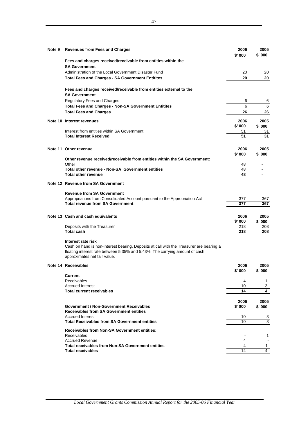| Note 9 | <b>Revenues from Fees and Charges</b>                                                                                                                                                        | 2006<br>\$' 000 | 2005<br>\$' 000 |
|--------|----------------------------------------------------------------------------------------------------------------------------------------------------------------------------------------------|-----------------|-----------------|
|        | Fees and charges received/receivable from entities within the<br><b>SA Government</b>                                                                                                        |                 |                 |
|        | Administration of the Local Government Disaster Fund                                                                                                                                         | 20              | 20              |
|        | <b>Total Fees and Charges - SA Government Entitites</b>                                                                                                                                      | 20              | 20              |
|        | Fees and charges received/receivable from entities external to the<br><b>SA Government</b>                                                                                                   |                 |                 |
|        | <b>Regulatory Fees and Charges</b>                                                                                                                                                           | 6               | 6               |
|        | <b>Total Fees and Charges - Non-SA Government Entitites</b>                                                                                                                                  | 6               | 6               |
|        | <b>Total Fees and Charges</b>                                                                                                                                                                | 26              | 26              |
|        | Note 10 Interest revenues                                                                                                                                                                    | 2006<br>\$' 000 | 2005<br>\$' 000 |
|        | Interest from entities within SA Government                                                                                                                                                  | 51              | 31              |
|        | <b>Total Interest Received</b>                                                                                                                                                               | 51              | 31              |
|        | Note 11 Other revenue                                                                                                                                                                        | 2006            | 2005            |
|        | Other revenue received/receivable from entities within the SA Government:                                                                                                                    | \$' 000         | \$' 000         |
|        | Other                                                                                                                                                                                        | 48              |                 |
|        | Total other revenue - Non-SA Government entities                                                                                                                                             | 48              |                 |
|        | <b>Total other revenue</b>                                                                                                                                                                   | 48              |                 |
|        | Note 12 Revenue from SA Government                                                                                                                                                           |                 |                 |
|        | <b>Revenue from SA Government</b>                                                                                                                                                            |                 |                 |
|        | Appropriations from Consolidated Account pursuant to the Appropriation Act                                                                                                                   | 377             | 367             |
|        | <b>Total revenue from SA Government</b>                                                                                                                                                      | 377             | 367             |
|        | Note 13 Cash and cash equivalents                                                                                                                                                            | 2006            | 2005            |
|        |                                                                                                                                                                                              | \$' 000         | \$' 000         |
|        | Deposits with the Treasurer                                                                                                                                                                  | 218             | 208             |
|        | <b>Total cash</b>                                                                                                                                                                            | 218             | 208             |
|        | Interest rate risk<br>Cash on hand is non-interest bearing. Deposits at call with the Treasurer are bearing a<br>floating interest rate between 5.35% and 5.43%. The carrying amount of cash |                 |                 |
|        | approximates net fair value.                                                                                                                                                                 |                 |                 |
|        | Note 14 Receivables                                                                                                                                                                          | 2006<br>\$' 000 | 2005<br>\$' 000 |
|        | Current                                                                                                                                                                                      |                 |                 |
|        | Receivables                                                                                                                                                                                  | 4               | 1               |
|        | <b>Accrued Interest</b><br><b>Total current receivables</b>                                                                                                                                  | 10              | 3               |
|        |                                                                                                                                                                                              | 14              | 4               |
|        |                                                                                                                                                                                              | 2006            | 2005            |
|        | Government / Non-Government Receivables<br><b>Receivables from SA Government entities</b>                                                                                                    | \$' 000         | \$' 000         |
|        | <b>Accrued Interest</b>                                                                                                                                                                      | 10              | 3               |
|        | <b>Total Receivables from SA Government entities</b>                                                                                                                                         | 10              | 3               |
|        | <b>Receivables from Non-SA Government entities:</b>                                                                                                                                          |                 |                 |
|        | <b>Receivables</b>                                                                                                                                                                           |                 | 1               |
|        | <b>Accrued Revenue</b>                                                                                                                                                                       | 4               |                 |
|        | <b>Total receivables from Non-SA Government entities</b>                                                                                                                                     | 4               | $\mathbf{1}$    |
|        | <b>Total receivables</b>                                                                                                                                                                     | 14              | 4               |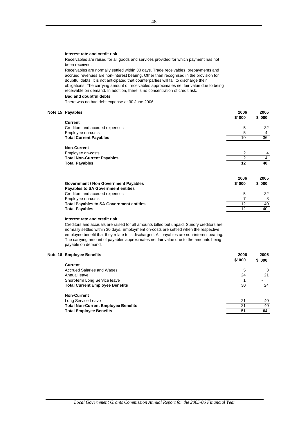### **Interest rate and credit risk**

Receivables are raised for all goods and services provided for which payment has not been received.

**Bad and doubtful debts** Receivables are normally settled within 30 days. Trade receivables, prepayments and accrued revenues are non-interest bearing. Other than recognised in the provision for doubtful debts, it is not anticipated that counterparties will fail to discharge their obligations. The carrying amount of receivables approximates net fair value due to being receivable on demand. In addition, there is no concentration of credit risk.

There was no bad debt expense at 30 June 2006.

### **Note 15 Payables 2006 2005**

|                                                 | \$'000 | \$'000 |
|-------------------------------------------------|--------|--------|
| <b>Current</b>                                  |        |        |
| Creditors and accrued expenses                  | 5      | 32     |
| Employee on-costs                               | 5      | 4      |
| <b>Total Current Payables</b>                   | 10     | 36     |
| <b>Non-Current</b>                              |        |        |
| Employee on-costs                               | 2      |        |
| <b>Total Non-Current Payables</b>               | 2      | 4      |
| <b>Total Payables</b>                           | 12     | 40     |
|                                                 | 2006   | 2005   |
| <b>Government / Non Government Payables</b>     | \$'000 | \$'000 |
| <b>Payables to SA Government entities</b>       |        |        |
| Creditors and accrued expenses                  | 5      | 32     |
| Employee on-costs                               |        | 8      |
| <b>Total Payables to SA Government entities</b> | 12     | 40     |
| <b>Total Payables</b>                           | 12     | 40     |

#### **Interest rate and credit risk**

Creditors and accruals are raised for all amounts billed but unpaid. Sundry creditors are normally settled within 30 days. Employment on-costs are settled when the respective employee benefit that they relate to is discharged. All payables are non-interest bearing. The carrying amount of payables approximates net fair value due to the amounts being payable on demand.

### **Note 16 Employee Benefits 2006 2005**

| , ____,,,,,,,,,,,,,,,,,,,,,,,,             | ----<br>$$'$ 000 | ----<br>$$'$ 000 |
|--------------------------------------------|------------------|------------------|
| <b>Current</b>                             |                  |                  |
| Accrued Salaries and Wages                 | 5                | 3                |
| Annual leave                               | 24               | 21               |
| Short-term Long Service leave              |                  |                  |
| <b>Total Current Employee Benefits</b>     | 30               | 24               |
| <b>Non-Current</b>                         |                  |                  |
| Long Service Leave                         | 21               | 40               |
| <b>Total Non-Current Employee Benefits</b> | 21               | 40               |

**Total Employee Benefits 64 51 64 51 64**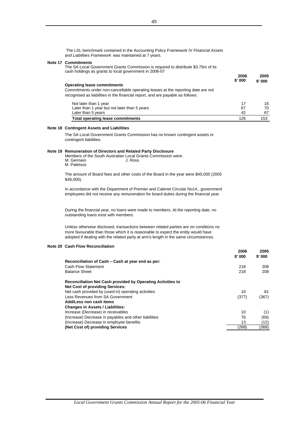The LSL benchmark contained in the Accounting Policy Framework IV *Financial Assets and Liabilities Framework* was maintained at 7 years.

#### **Note 17 Commitments**

The SA Local Government Grants Commission is required to distribute \$3.75m of its cash holdings as grants to local government in 2006-07

| <b>Operating lease commitments</b><br>Commitments under non-cancellable operating leases at the reporting date are not<br>recognised as liabilities in the financial report, and are payable as follows: | 2006<br>\$'000 | 2005<br>\$' 000 |
|----------------------------------------------------------------------------------------------------------------------------------------------------------------------------------------------------------|----------------|-----------------|
| Not later than 1 year                                                                                                                                                                                    | 17             | 16              |
| Later than 1 year but not later than 5 years                                                                                                                                                             | 67             | 70              |
| Later than 5 years                                                                                                                                                                                       | 42             | 67              |
| <b>Total operating lease commitments</b>                                                                                                                                                                 | 126            | 153             |

### **Note 18 Contingent Assets and Liabilities**

The SA Local Government Grants Commission has no known contingent assets or contingent liabilities.

#### **Note 19 Remuneration of Directors and Related Party Disclosure**

Members of the South Australian Local Grants Commission were:<br>M. Germein J. Ross J. Ross M. Germein M. Patetsos

The amount of Board fees and other costs of the Board in the year were \$45,000 (2005 \$49,000).

In accordance with the Department of Premier and Cabinet Circular No14., government employees did not receive any remuneration for board duties during the financial year.

During the financial year, no loans were made to members. At the reporting date, no outstanding loans exist with members.

Unless otherwise disclosed, transactions between related parties are on conditions no more favourable than those which it is reasonable to expect the entity would have adopted if dealing with the related party at arm's length in the same circumstances.

### **Note 20 Cash Flow Reconciliation**

|                                                             | 2006   | 2005   |
|-------------------------------------------------------------|--------|--------|
|                                                             | \$'000 | \$'000 |
| Reconciliation of Cash – Cash at year end as per:           |        |        |
| Cash Flow Statement                                         | 218    | 208    |
| <b>Balance Sheet</b>                                        | 218    | 208    |
| Reconciliation Net Cash provided by Operating Activities to |        |        |
| <b>Net Cost of providing Services:</b>                      |        |        |
| Net cash provided by (used in) operating activities         | 10     | 81     |
| Less Revenues from SA Government                            | (377)  | (367)  |
| Add/Less non cash items                                     |        |        |
| <b>Changes in Assets / Liabilities:</b>                     |        |        |
| Increase (Decrease) in receivables                          | 10     | (1)    |
| (Increase) Decrease in payables and other liabilities       | 76     | (69)   |
| (Increase) Decrease in employee benefits                    | 13     | (12)   |
| (Net Cost of) providing Services                            | (268)  | (368)  |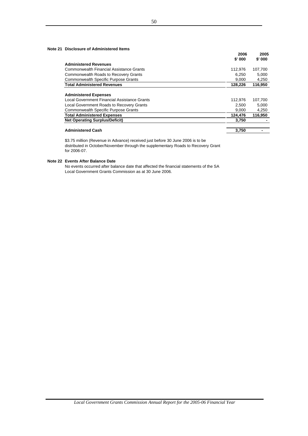### **Note 21 Disclosure of Administered Items**

|                                              | 2006<br>\$'000 | 2005<br>\$'000 |  |
|----------------------------------------------|----------------|----------------|--|
| <b>Administered Revenues</b>                 |                |                |  |
| Commonwealth Financial Assistance Grants     | 112.976        | 107.700        |  |
| <b>Commonwealth Roads to Recovery Grants</b> | 6.250          | 5,000          |  |
| <b>Commonwealth Specific Purpose Grants</b>  | 9.000          | 4,250          |  |
| <b>Total Administered Revenues</b>           | 128,226        | 116,950        |  |
|                                              |                |                |  |
| <b>Administered Expenses</b>                 |                |                |  |
| Local Government Financial Assistance Grants | 112.976        | 107.700        |  |
| Local Government Roads to Recovery Grants    | 2.500          | 5,000          |  |
| <b>Commonwealth Specific Purpose Grants</b>  | 9,000          | 4,250          |  |
| <b>Total Administered Expenses</b>           | 124,476        | 116.950        |  |
| <b>Net Operating Surplus/Deficit)</b>        | 3,750          |                |  |
| <b>Administered Cash</b>                     | 3.750          |                |  |

\$3.75 million (Revenue in Advance) received just before 30 June 2006 is to be distributed in October/November through the supplementary Roads to Recovery Grant for 2006-07.

### **Note 22 Events After Balance Date**

No events occurred after balance date that affected the financial statements of the SA Local Government Grants Commission as at 30 June 2006.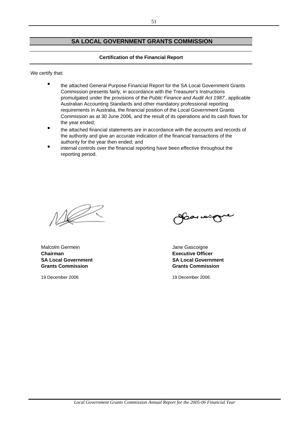## **SA LOCAL GOVERNMENT GRANTS COMMISSION**

### **Certification of the Financial Report**

We certify that:

- $\bullet$ the attached General Purpose Financial Report for the SA Local Government Grants Commission presents fairly, in accordance with the Treasurer's Instructions promulgated under the provisions of the *Public Finance and Audit Act 1987* , applicable Australian Accounting Standards and other mandatory professional reporting requirements in Australia, the financial position of the Local Government Grants Commission as at 30 June 2006, and the result of its operations and its cash flows for the year ended;
- $\bullet$ the attached financial statements are in accordance with the accounts and records of the authority and give an accurate indication of the financial transactions of the authority for the year then ended; and
- $\bullet$ internal controls over the financial reporting have been effective throughout the reporting period.

 $\sqrt{\mathbb{Z}}$ 

Malcolm Germein **Malcolm Germein** Jane Gascoigne **Chairman Executive Officer Grants Commission Grants Commission**

19 December 2006 19 December 2006

**SA Local Government SA Local Government**